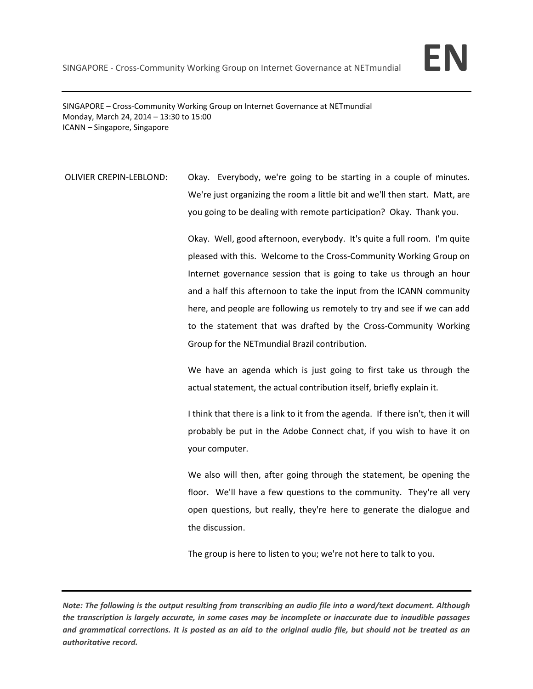

SINGAPORE – Cross‐Community Working Group on Internet Governance at NETmundial Monday, March 24, 2014 – 13:30 to 15:00 ICANN – Singapore, Singapore

OLIVIER CREPIN‐LEBLOND: Okay. Everybody, we're going to be starting in a couple of minutes. We're just organizing the room a little bit and we'll then start. Matt, are you going to be dealing with remote participation? Okay. Thank you.

> Okay. Well, good afternoon, everybody. It's quite a full room. I'm quite pleased with this. Welcome to the Cross‐Community Working Group on Internet governance session that is going to take us through an hour and a half this afternoon to take the input from the ICANN community here, and people are following us remotely to try and see if we can add to the statement that was drafted by the Cross‐Community Working Group for the NETmundial Brazil contribution.

> We have an agenda which is just going to first take us through the actual statement, the actual contribution itself, briefly explain it.

> I think that there is a link to it from the agenda. If there isn't, then it will probably be put in the Adobe Connect chat, if you wish to have it on your computer.

> We also will then, after going through the statement, be opening the floor. We'll have a few questions to the community. They're all very open questions, but really, they're here to generate the dialogue and the discussion.

The group is here to listen to you; we're not here to talk to you.

Note: The following is the output resulting from transcribing an audio file into a word/text document. Although the transcription is largely accurate, in some cases may be incomplete or inaccurate due to inaudible passages and grammatical corrections. It is posted as an aid to the original audio file, but should not be treated as an *authoritative record.*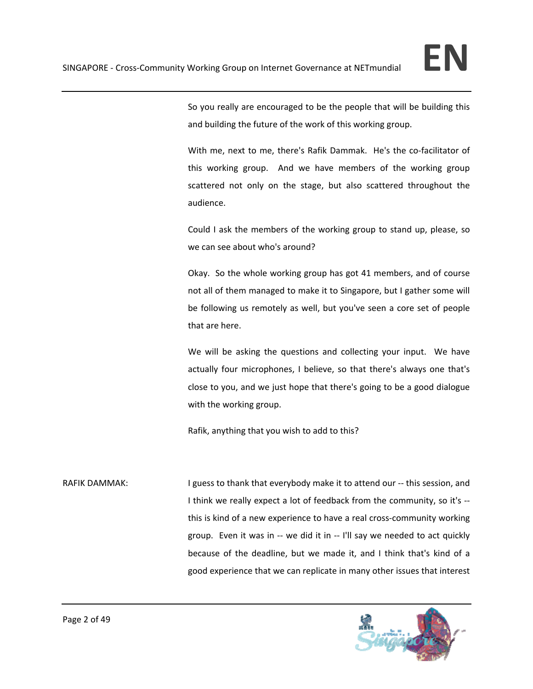

So you really are encouraged to be the people that will be building this and building the future of the work of this working group.

With me, next to me, there's Rafik Dammak. He's the co-facilitator of this working group. And we have members of the working group scattered not only on the stage, but also scattered throughout the audience.

Could I ask the members of the working group to stand up, please, so we can see about who's around?

Okay. So the whole working group has got 41 members, and of course not all of them managed to make it to Singapore, but I gather some will be following us remotely as well, but you've seen a core set of people that are here.

We will be asking the questions and collecting your input. We have actually four microphones, I believe, so that there's always one that's close to you, and we just hope that there's going to be a good dialogue with the working group.

Rafik, anything that you wish to add to this?

RAFIK DAMMAK: I guess to thank that everybody make it to attend our -- this session, and I think we really expect a lot of feedback from the community, so it's ‐‐ this is kind of a new experience to have a real cross‐community working group. Even it was in ‐‐ we did it in ‐‐ I'll say we needed to act quickly because of the deadline, but we made it, and I think that's kind of a good experience that we can replicate in many other issues that interest

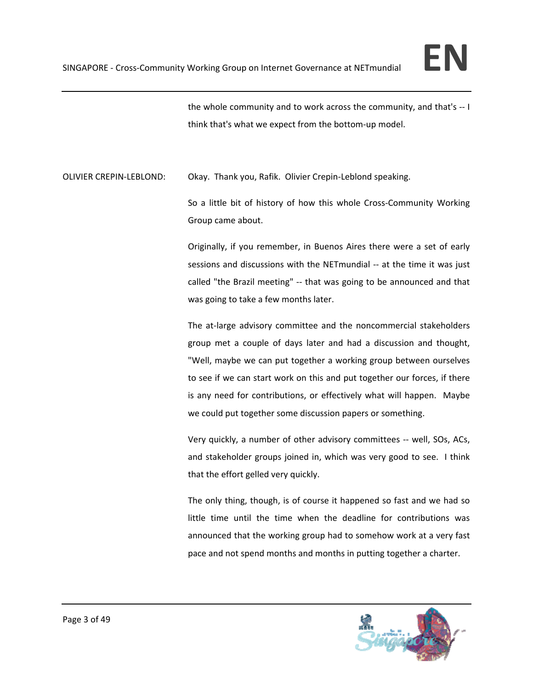

the whole community and to work across the community, and that's ‐‐ I think that's what we expect from the bottom‐up model.

OLIVIER CREPIN‐LEBLOND: Okay. Thank you, Rafik. Olivier Crepin‐Leblond speaking.

So a little bit of history of how this whole Cross‐Community Working Group came about.

Originally, if you remember, in Buenos Aires there were a set of early sessions and discussions with the NETmundial -- at the time it was just called "the Brazil meeting" -- that was going to be announced and that was going to take a few months later.

The at-large advisory committee and the noncommercial stakeholders group met a couple of days later and had a discussion and thought, "Well, maybe we can put together a working group between ourselves to see if we can start work on this and put together our forces, if there is any need for contributions, or effectively what will happen. Maybe we could put together some discussion papers or something.

Very quickly, a number of other advisory committees ‐‐ well, SOs, ACs, and stakeholder groups joined in, which was very good to see. I think that the effort gelled very quickly.

The only thing, though, is of course it happened so fast and we had so little time until the time when the deadline for contributions was announced that the working group had to somehow work at a very fast pace and not spend months and months in putting together a charter.

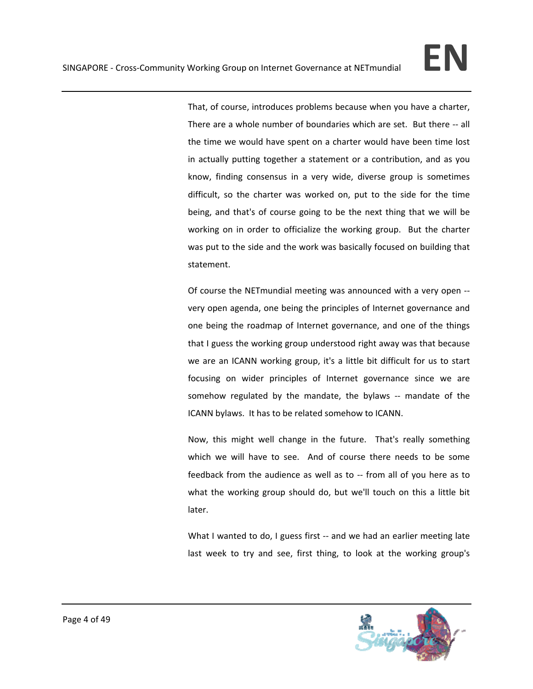That, of course, introduces problems because when you have a charter, There are a whole number of boundaries which are set. But there ‐‐ all the time we would have spent on a charter would have been time lost in actually putting together a statement or a contribution, and as you know, finding consensus in a very wide, diverse group is sometimes difficult, so the charter was worked on, put to the side for the time being, and that's of course going to be the next thing that we will be working on in order to officialize the working group. But the charter was put to the side and the work was basically focused on building that statement.

Of course the NETmundial meeting was announced with a very open ‐‐ very open agenda, one being the principles of Internet governance and one being the roadmap of Internet governance, and one of the things that I guess the working group understood right away was that because we are an ICANN working group, it's a little bit difficult for us to start focusing on wider principles of Internet governance since we are somehow regulated by the mandate, the bylaws -- mandate of the ICANN bylaws. It has to be related somehow to ICANN.

Now, this might well change in the future. That's really something which we will have to see. And of course there needs to be some feedback from the audience as well as to ‐‐ from all of you here as to what the working group should do, but we'll touch on this a little bit later.

What I wanted to do, I guess first -- and we had an earlier meeting late last week to try and see, first thing, to look at the working group's

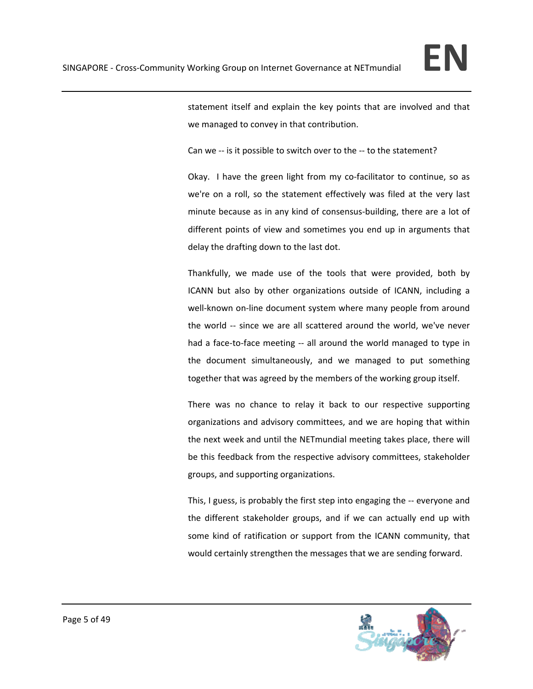

statement itself and explain the key points that are involved and that we managed to convey in that contribution.

Can we -- is it possible to switch over to the -- to the statement?

Okay. I have the green light from my co-facilitator to continue, so as we're on a roll, so the statement effectively was filed at the very last minute because as in any kind of consensus‐building, there are a lot of different points of view and sometimes you end up in arguments that delay the drafting down to the last dot.

Thankfully, we made use of the tools that were provided, both by ICANN but also by other organizations outside of ICANN, including a well-known on-line document system where many people from around the world -- since we are all scattered around the world, we've never had a face-to-face meeting -- all around the world managed to type in the document simultaneously, and we managed to put something together that was agreed by the members of the working group itself.

There was no chance to relay it back to our respective supporting organizations and advisory committees, and we are hoping that within the next week and until the NETmundial meeting takes place, there will be this feedback from the respective advisory committees, stakeholder groups, and supporting organizations.

This, I guess, is probably the first step into engaging the ‐‐ everyone and the different stakeholder groups, and if we can actually end up with some kind of ratification or support from the ICANN community, that would certainly strengthen the messages that we are sending forward.

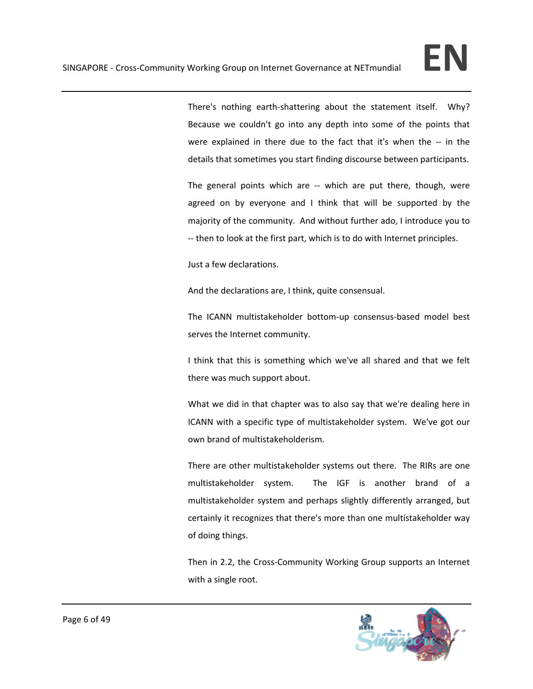There's nothing earth-shattering about the statement itself. Why? Because we couldn't go into any depth into some of the points that were explained in there due to the fact that it's when the -- in the details that sometimes you start finding discourse between participants.

The general points which are -- which are put there, though, were agreed on by everyone and I think that will be supported by the majority of the community. And without further ado, I introduce you to ‐‐ then to look at the first part, which is to do with Internet principles.

Just a few declarations.

And the declarations are, I think, quite consensual.

The ICANN multistakeholder bottom‐up consensus‐based model best serves the Internet community.

I think that this is something which we've all shared and that we felt there was much support about.

What we did in that chapter was to also say that we're dealing here in ICANN with a specific type of multistakeholder system. We've got our own brand of multistakeholderism.

There are other multistakeholder systems out there. The RIRs are one multistakeholder system. The IGF is another brand of a multistakeholder system and perhaps slightly differently arranged, but certainly it recognizes that there's more than one multistakeholder way of doing things.

Then in 2.2, the Cross‐Community Working Group supports an Internet with a single root.

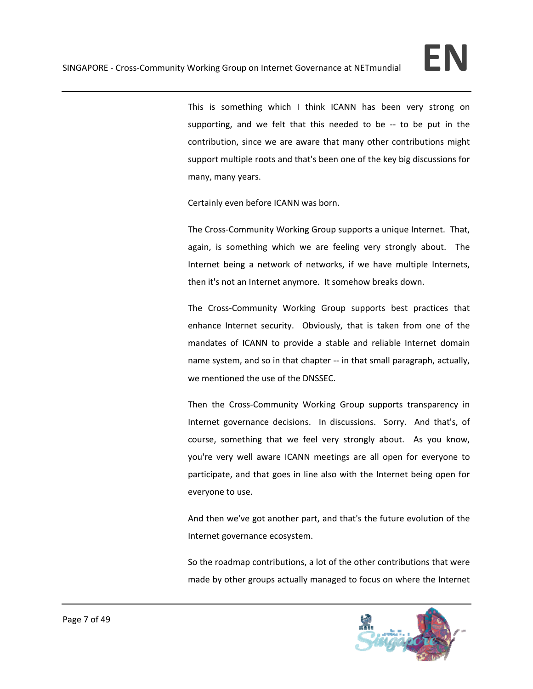This is something which I think ICANN has been very strong on supporting, and we felt that this needed to be -- to be put in the contribution, since we are aware that many other contributions might support multiple roots and that's been one of the key big discussions for many, many years.

Certainly even before ICANN was born.

The Cross‐Community Working Group supports a unique Internet. That, again, is something which we are feeling very strongly about. The Internet being a network of networks, if we have multiple Internets, then it's not an Internet anymore. It somehow breaks down.

The Cross-Community Working Group supports best practices that enhance Internet security. Obviously, that is taken from one of the mandates of ICANN to provide a stable and reliable Internet domain name system, and so in that chapter ‐‐ in that small paragraph, actually, we mentioned the use of the DNSSEC.

Then the Cross-Community Working Group supports transparency in Internet governance decisions. In discussions. Sorry. And that's, of course, something that we feel very strongly about. As you know, you're very well aware ICANN meetings are all open for everyone to participate, and that goes in line also with the Internet being open for everyone to use.

And then we've got another part, and that's the future evolution of the Internet governance ecosystem.

So the roadmap contributions, a lot of the other contributions that were made by other groups actually managed to focus on where the Internet

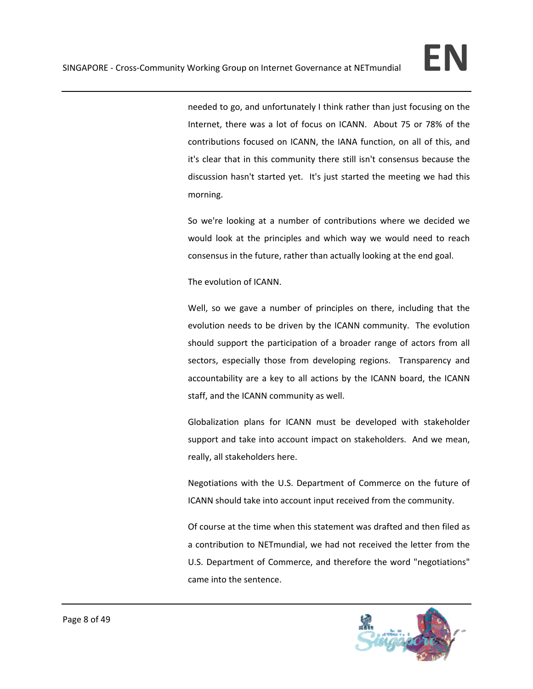needed to go, and unfortunately I think rather than just focusing on the Internet, there was a lot of focus on ICANN. About 75 or 78% of the contributions focused on ICANN, the IANA function, on all of this, and it's clear that in this community there still isn't consensus because the discussion hasn't started yet. It's just started the meeting we had this morning.

So we're looking at a number of contributions where we decided we would look at the principles and which way we would need to reach consensus in the future, rather than actually looking at the end goal.

The evolution of ICANN.

Well, so we gave a number of principles on there, including that the evolution needs to be driven by the ICANN community. The evolution should support the participation of a broader range of actors from all sectors, especially those from developing regions. Transparency and accountability are a key to all actions by the ICANN board, the ICANN staff, and the ICANN community as well.

Globalization plans for ICANN must be developed with stakeholder support and take into account impact on stakeholders. And we mean, really, all stakeholders here.

Negotiations with the U.S. Department of Commerce on the future of ICANN should take into account input received from the community.

Of course at the time when this statement was drafted and then filed as a contribution to NETmundial, we had not received the letter from the U.S. Department of Commerce, and therefore the word "negotiations" came into the sentence.

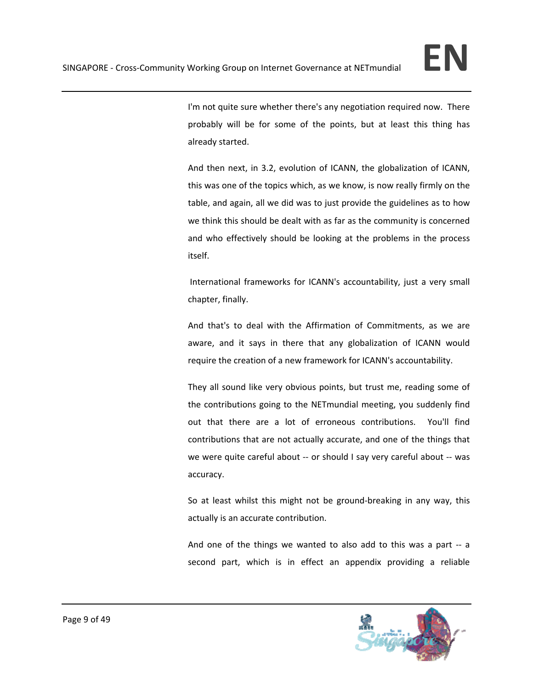I'm not quite sure whether there's any negotiation required now. There probably will be for some of the points, but at least this thing has already started.

And then next, in 3.2, evolution of ICANN, the globalization of ICANN, this was one of the topics which, as we know, is now really firmly on the table, and again, all we did was to just provide the guidelines as to how we think this should be dealt with as far as the community is concerned and who effectively should be looking at the problems in the process itself.

International frameworks for ICANN's accountability, just a very small chapter, finally.

And that's to deal with the Affirmation of Commitments, as we are aware, and it says in there that any globalization of ICANN would require the creation of a new framework for ICANN's accountability.

They all sound like very obvious points, but trust me, reading some of the contributions going to the NETmundial meeting, you suddenly find out that there are a lot of erroneous contributions. You'll find contributions that are not actually accurate, and one of the things that we were quite careful about -- or should I say very careful about -- was accuracy.

So at least whilst this might not be ground‐breaking in any way, this actually is an accurate contribution.

And one of the things we wanted to also add to this was a part -- a second part, which is in effect an appendix providing a reliable

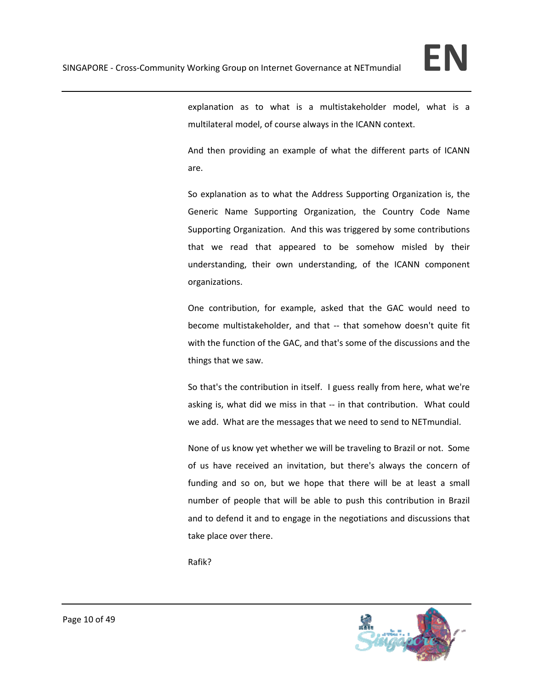explanation as to what is a multistakeholder model, what is a multilateral model, of course always in the ICANN context.

And then providing an example of what the different parts of ICANN are.

So explanation as to what the Address Supporting Organization is, the Generic Name Supporting Organization, the Country Code Name Supporting Organization. And this was triggered by some contributions that we read that appeared to be somehow misled by their understanding, their own understanding, of the ICANN component organizations.

One contribution, for example, asked that the GAC would need to become multistakeholder, and that -- that somehow doesn't quite fit with the function of the GAC, and that's some of the discussions and the things that we saw.

So that's the contribution in itself. I guess really from here, what we're asking is, what did we miss in that -- in that contribution. What could we add. What are the messages that we need to send to NETmundial.

None of us know yet whether we will be traveling to Brazil or not. Some of us have received an invitation, but there's always the concern of funding and so on, but we hope that there will be at least a small number of people that will be able to push this contribution in Brazil and to defend it and to engage in the negotiations and discussions that take place over there.

Rafik?

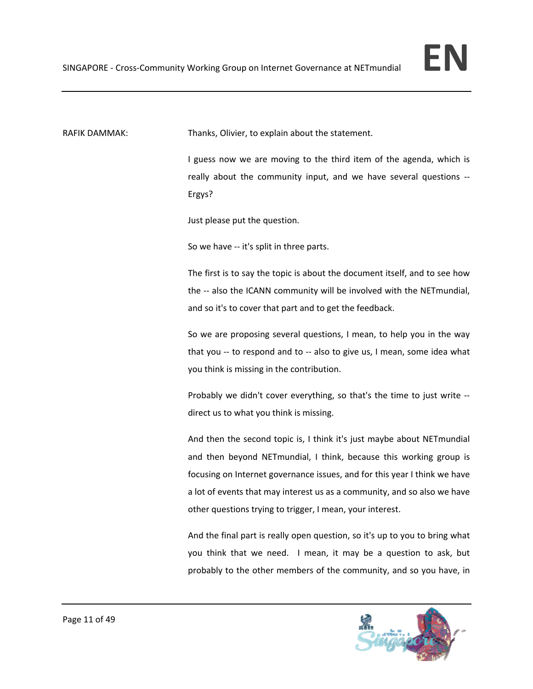RAFIK DAMMAK: Thanks, Olivier, to explain about the statement.

I guess now we are moving to the third item of the agenda, which is really about the community input, and we have several questions ‐‐ Ergys?

Just please put the question.

So we have ‐‐ it's split in three parts.

The first is to say the topic is about the document itself, and to see how the -- also the ICANN community will be involved with the NETmundial, and so it's to cover that part and to get the feedback.

So we are proposing several questions, I mean, to help you in the way that you -- to respond and to -- also to give us, I mean, some idea what you think is missing in the contribution.

Probably we didn't cover everything, so that's the time to just write ‐‐ direct us to what you think is missing.

And then the second topic is, I think it's just maybe about NETmundial and then beyond NETmundial, I think, because this working group is focusing on Internet governance issues, and for this year I think we have a lot of events that may interest us as a community, and so also we have other questions trying to trigger, I mean, your interest.

And the final part is really open question, so it's up to you to bring what you think that we need. I mean, it may be a question to ask, but probably to the other members of the community, and so you have, in

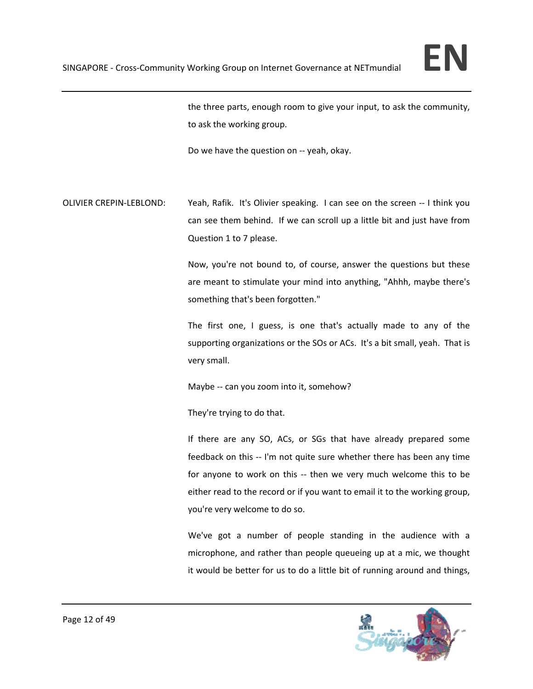

the three parts, enough room to give your input, to ask the community, to ask the working group.

Do we have the question on ‐‐ yeah, okay.

OLIVIER CREPIN‐LEBLOND: Yeah, Rafik. It's Olivier speaking. I can see on the screen ‐‐ I think you can see them behind. If we can scroll up a little bit and just have from Question 1 to 7 please.

> Now, you're not bound to, of course, answer the questions but these are meant to stimulate your mind into anything, "Ahhh, maybe there's something that's been forgotten."

> The first one, I guess, is one that's actually made to any of the supporting organizations or the SOs or ACs. It's a bit small, yeah. That is very small.

Maybe -- can you zoom into it, somehow?

They're trying to do that.

If there are any SO, ACs, or SGs that have already prepared some feedback on this ‐‐ I'm not quite sure whether there has been any time for anyone to work on this -- then we very much welcome this to be either read to the record or if you want to email it to the working group, you're very welcome to do so.

We've got a number of people standing in the audience with a microphone, and rather than people queueing up at a mic, we thought it would be better for us to do a little bit of running around and things,

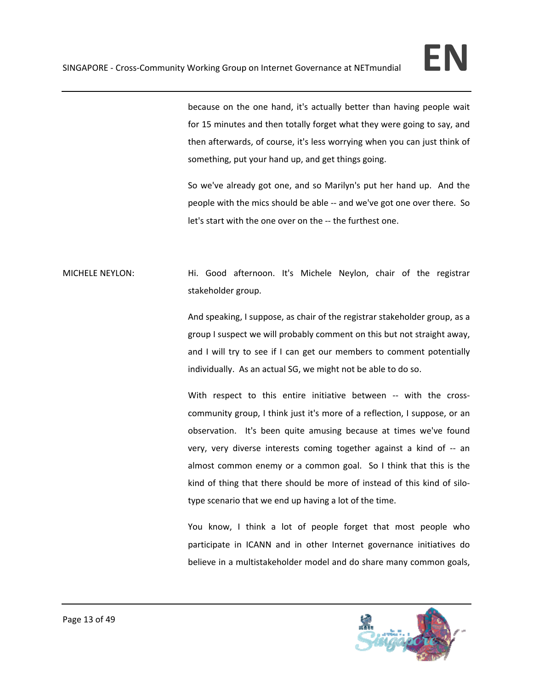

because on the one hand, it's actually better than having people wait for 15 minutes and then totally forget what they were going to say, and then afterwards, of course, it's less worrying when you can just think of something, put your hand up, and get things going.

So we've already got one, and so Marilyn's put her hand up. And the people with the mics should be able ‐‐ and we've got one over there. So let's start with the one over on the ‐‐ the furthest one.

MICHELE NEYLON: Hi. Good afternoon. It's Michele Neylon, chair of the registrar stakeholder group.

> And speaking, I suppose, as chair of the registrar stakeholder group, as a group I suspect we will probably comment on this but not straight away, and I will try to see if I can get our members to comment potentially individually. As an actual SG, we might not be able to do so.

> With respect to this entire initiative between -- with the crosscommunity group, I think just it's more of a reflection, I suppose, or an observation. It's been quite amusing because at times we've found very, very diverse interests coming together against a kind of ‐‐ an almost common enemy or a common goal. So I think that this is the kind of thing that there should be more of instead of this kind of silotype scenario that we end up having a lot of the time.

> You know, I think a lot of people forget that most people who participate in ICANN and in other Internet governance initiatives do believe in a multistakeholder model and do share many common goals,

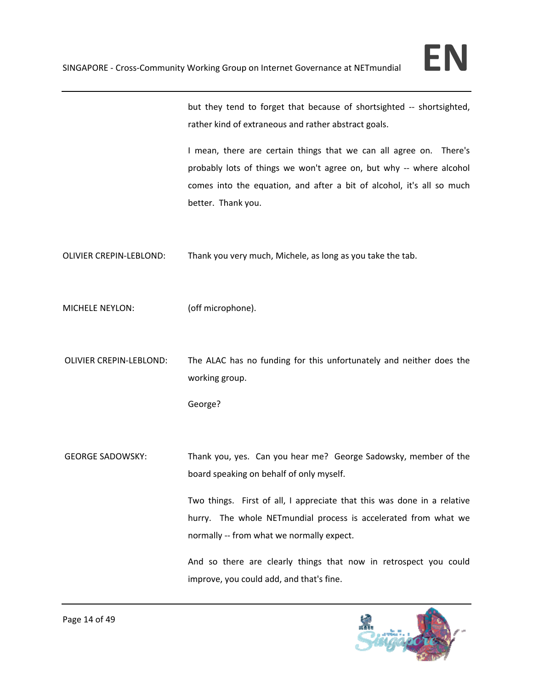but they tend to forget that because of shortsighted ‐‐ shortsighted, rather kind of extraneous and rather abstract goals.

I mean, there are certain things that we can all agree on. There's probably lots of things we won't agree on, but why -- where alcohol comes into the equation, and after a bit of alcohol, it's all so much better. Thank you.

OLIVIER CREPIN‐LEBLOND: Thank you very much, Michele, as long as you take the tab.

MICHELE NEYLON: (off microphone).

OLIVIER CREPIN‐LEBLOND: The ALAC has no funding for this unfortunately and neither does the working group.

George?

GEORGE SADOWSKY: Thank you, yes. Can you hear me? George Sadowsky, member of the board speaking on behalf of only myself.

> Two things. First of all, I appreciate that this was done in a relative hurry. The whole NETmundial process is accelerated from what we normally ‐‐ from what we normally expect.

> And so there are clearly things that now in retrospect you could improve, you could add, and that's fine.

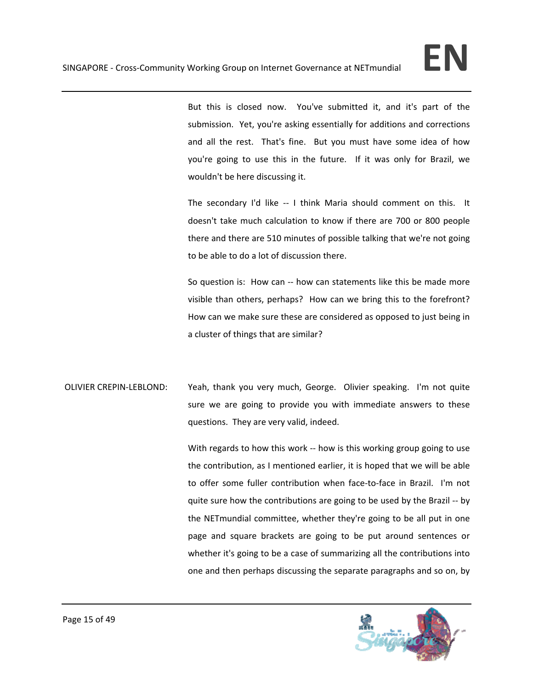But this is closed now. You've submitted it, and it's part of the submission. Yet, you're asking essentially for additions and corrections and all the rest. That's fine. But you must have some idea of how you're going to use this in the future. If it was only for Brazil, we wouldn't be here discussing it.

The secondary I'd like -- I think Maria should comment on this. It doesn't take much calculation to know if there are 700 or 800 people there and there are 510 minutes of possible talking that we're not going to be able to do a lot of discussion there.

So question is: How can ‐‐ how can statements like this be made more visible than others, perhaps? How can we bring this to the forefront? How can we make sure these are considered as opposed to just being in a cluster of things that are similar?

OLIVIER CREPIN‐LEBLOND: Yeah, thank you very much, George. Olivier speaking. I'm not quite sure we are going to provide you with immediate answers to these questions. They are very valid, indeed.

> With regards to how this work -- how is this working group going to use the contribution, as I mentioned earlier, it is hoped that we will be able to offer some fuller contribution when face-to-face in Brazil. I'm not quite sure how the contributions are going to be used by the Brazil ‐‐ by the NETmundial committee, whether they're going to be all put in one page and square brackets are going to be put around sentences or whether it's going to be a case of summarizing all the contributions into one and then perhaps discussing the separate paragraphs and so on, by

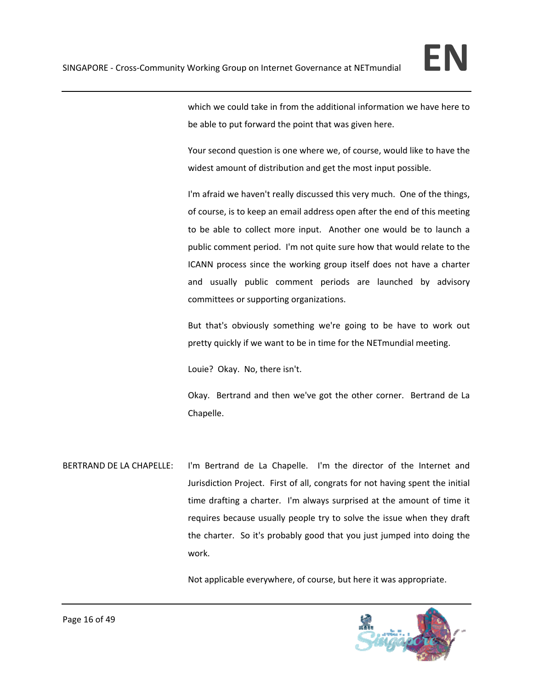

which we could take in from the additional information we have here to be able to put forward the point that was given here.

Your second question is one where we, of course, would like to have the widest amount of distribution and get the most input possible.

I'm afraid we haven't really discussed this very much. One of the things, of course, is to keep an email address open after the end of this meeting to be able to collect more input. Another one would be to launch a public comment period. I'm not quite sure how that would relate to the ICANN process since the working group itself does not have a charter and usually public comment periods are launched by advisory committees or supporting organizations.

But that's obviously something we're going to be have to work out pretty quickly if we want to be in time for the NETmundial meeting.

Louie? Okay. No, there isn't.

Okay. Bertrand and then we've got the other corner. Bertrand de La Chapelle.

BERTRAND DE LA CHAPELLE: I'm Bertrand de La Chapelle. I'm the director of the Internet and Jurisdiction Project. First of all, congrats for not having spent the initial time drafting a charter. I'm always surprised at the amount of time it requires because usually people try to solve the issue when they draft the charter. So it's probably good that you just jumped into doing the work.

Not applicable everywhere, of course, but here it was appropriate.

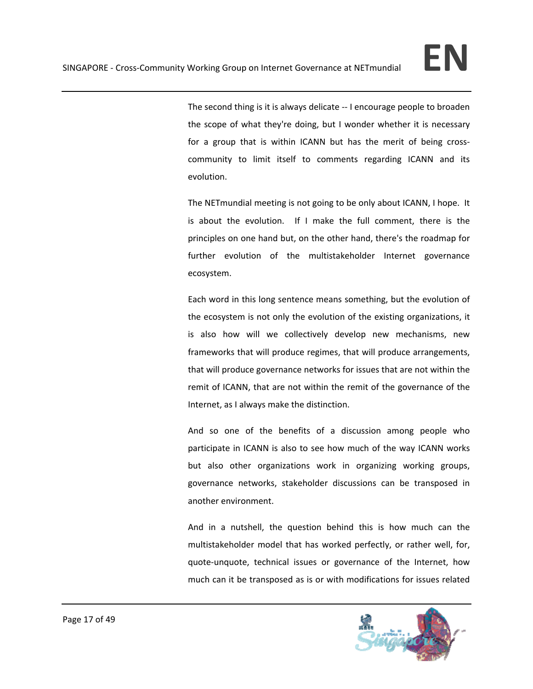The second thing is it is always delicate ‐‐ I encourage people to broaden the scope of what they're doing, but I wonder whether it is necessary for a group that is within ICANN but has the merit of being crosscommunity to limit itself to comments regarding ICANN and its evolution.

The NETmundial meeting is not going to be only about ICANN, I hope. It is about the evolution. If I make the full comment, there is the principles on one hand but, on the other hand, there's the roadmap for further evolution of the multistakeholder Internet governance ecosystem.

Each word in this long sentence means something, but the evolution of the ecosystem is not only the evolution of the existing organizations, it is also how will we collectively develop new mechanisms, new frameworks that will produce regimes, that will produce arrangements, that will produce governance networks for issues that are not within the remit of ICANN, that are not within the remit of the governance of the Internet, as I always make the distinction.

And so one of the benefits of a discussion among people who participate in ICANN is also to see how much of the way ICANN works but also other organizations work in organizing working groups, governance networks, stakeholder discussions can be transposed in another environment.

And in a nutshell, the question behind this is how much can the multistakeholder model that has worked perfectly, or rather well, for, quote‐unquote, technical issues or governance of the Internet, how much can it be transposed as is or with modifications for issues related

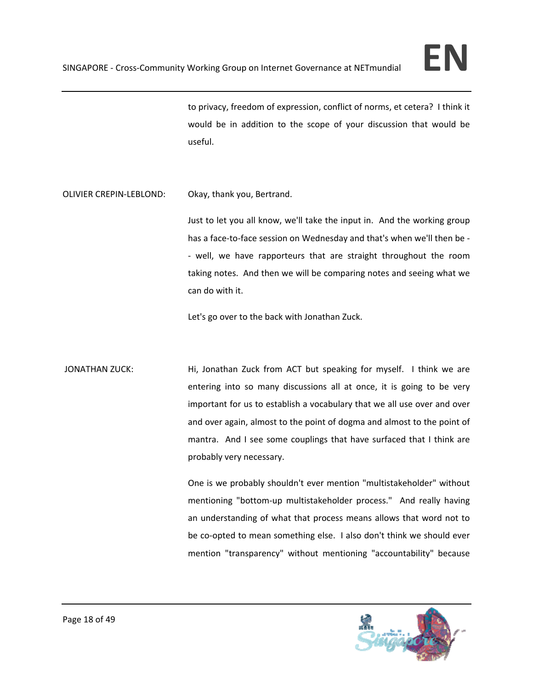to privacy, freedom of expression, conflict of norms, et cetera? I think it would be in addition to the scope of your discussion that would be useful.

OLIVIER CREPIN‐LEBLOND: Okay, thank you, Bertrand.

Just to let you all know, we'll take the input in. And the working group has a face-to-face session on Wednesday and that's when we'll then be -‐ well, we have rapporteurs that are straight throughout the room taking notes. And then we will be comparing notes and seeing what we can do with it.

Let's go over to the back with Jonathan Zuck.

JONATHAN ZUCK: Hi, Jonathan Zuck from ACT but speaking for myself. I think we are entering into so many discussions all at once, it is going to be very important for us to establish a vocabulary that we all use over and over and over again, almost to the point of dogma and almost to the point of mantra. And I see some couplings that have surfaced that I think are probably very necessary.

> One is we probably shouldn't ever mention "multistakeholder" without mentioning "bottom-up multistakeholder process." And really having an understanding of what that process means allows that word not to be co-opted to mean something else. I also don't think we should ever mention "transparency" without mentioning "accountability" because

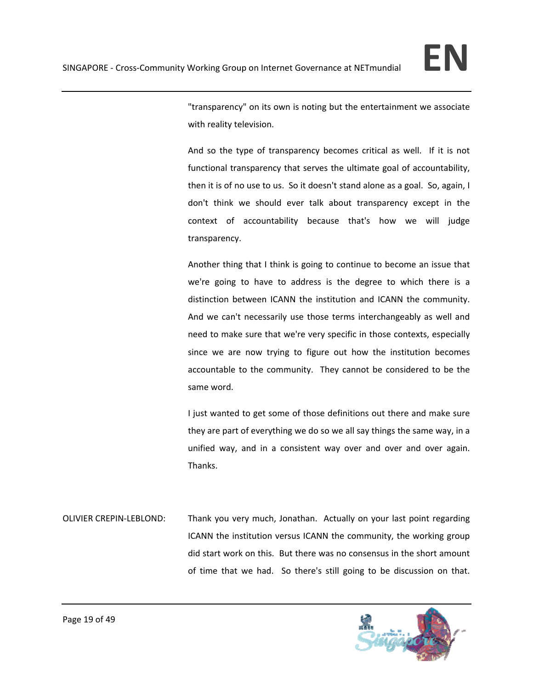

"transparency" on its own is noting but the entertainment we associate with reality television.

And so the type of transparency becomes critical as well. If it is not functional transparency that serves the ultimate goal of accountability, then it is of no use to us. So it doesn't stand alone as a goal. So, again, I don't think we should ever talk about transparency except in the context of accountability because that's how we will judge transparency.

Another thing that I think is going to continue to become an issue that we're going to have to address is the degree to which there is a distinction between ICANN the institution and ICANN the community. And we can't necessarily use those terms interchangeably as well and need to make sure that we're very specific in those contexts, especially since we are now trying to figure out how the institution becomes accountable to the community. They cannot be considered to be the same word.

I just wanted to get some of those definitions out there and make sure they are part of everything we do so we all say things the same way, in a unified way, and in a consistent way over and over and over again. Thanks.

OLIVIER CREPIN‐LEBLOND: Thank you very much, Jonathan. Actually on your last point regarding ICANN the institution versus ICANN the community, the working group did start work on this. But there was no consensus in the short amount of time that we had. So there's still going to be discussion on that.

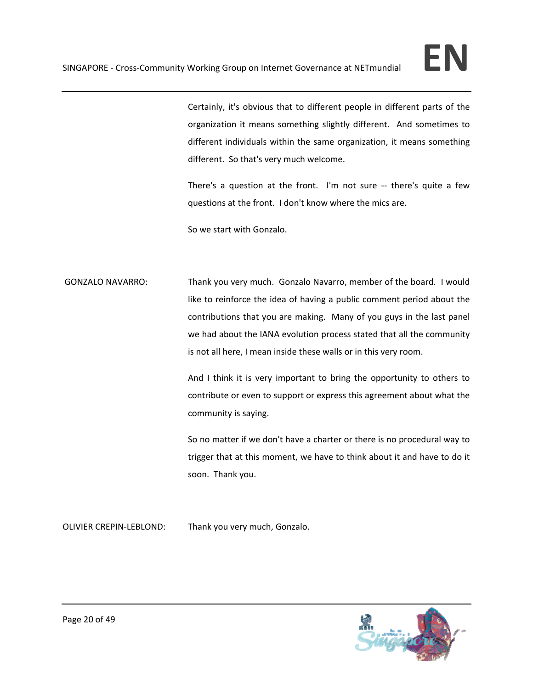

Certainly, it's obvious that to different people in different parts of the organization it means something slightly different. And sometimes to different individuals within the same organization, it means something different. So that's very much welcome.

There's a question at the front. I'm not sure -- there's quite a few questions at the front. I don't know where the mics are.

So we start with Gonzalo.

GONZALO NAVARRO: Thank you very much. Gonzalo Navarro, member of the board. I would like to reinforce the idea of having a public comment period about the contributions that you are making. Many of you guys in the last panel we had about the IANA evolution process stated that all the community is not all here, I mean inside these walls or in this very room.

> And I think it is very important to bring the opportunity to others to contribute or even to support or express this agreement about what the community is saying.

> So no matter if we don't have a charter or there is no procedural way to trigger that at this moment, we have to think about it and have to do it soon. Thank you.

OLIVIER CREPIN‐LEBLOND: Thank you very much, Gonzalo.

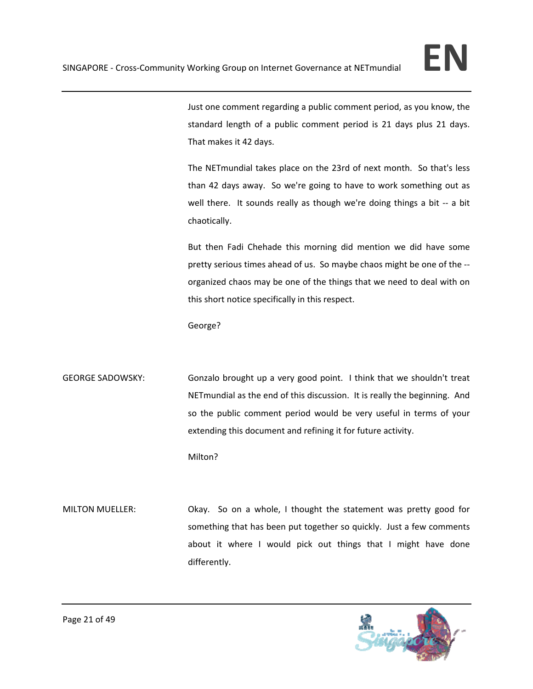

Just one comment regarding a public comment period, as you know, the standard length of a public comment period is 21 days plus 21 days. That makes it 42 days.

The NETmundial takes place on the 23rd of next month. So that's less than 42 days away. So we're going to have to work something out as well there. It sounds really as though we're doing things a bit -- a bit chaotically.

But then Fadi Chehade this morning did mention we did have some pretty serious times ahead of us. So maybe chaos might be one of the ‐‐ organized chaos may be one of the things that we need to deal with on this short notice specifically in this respect.

George?

GEORGE SADOWSKY: Gonzalo brought up a very good point. I think that we shouldn't treat NETmundial as the end of this discussion. It is really the beginning. And so the public comment period would be very useful in terms of your extending this document and refining it for future activity.

Milton?

MILTON MUELLER: Okay. So on a whole, I thought the statement was pretty good for something that has been put together so quickly. Just a few comments about it where I would pick out things that I might have done differently.

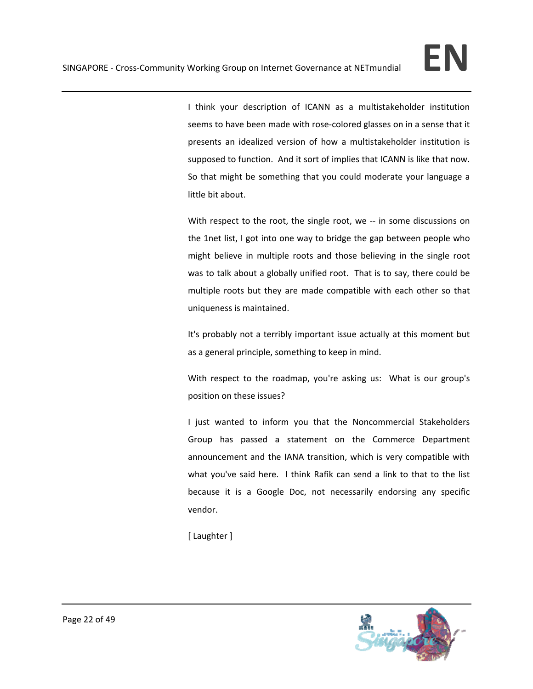I think your description of ICANN as a multistakeholder institution seems to have been made with rose-colored glasses on in a sense that it presents an idealized version of how a multistakeholder institution is supposed to function. And it sort of implies that ICANN is like that now. So that might be something that you could moderate your language a little bit about.

With respect to the root, the single root, we -- in some discussions on the 1net list, I got into one way to bridge the gap between people who might believe in multiple roots and those believing in the single root was to talk about a globally unified root. That is to say, there could be multiple roots but they are made compatible with each other so that uniqueness is maintained.

It's probably not a terribly important issue actually at this moment but as a general principle, something to keep in mind.

With respect to the roadmap, you're asking us: What is our group's position on these issues?

I just wanted to inform you that the Noncommercial Stakeholders Group has passed a statement on the Commerce Department announcement and the IANA transition, which is very compatible with what you've said here. I think Rafik can send a link to that to the list because it is a Google Doc, not necessarily endorsing any specific vendor.

[ Laughter ]

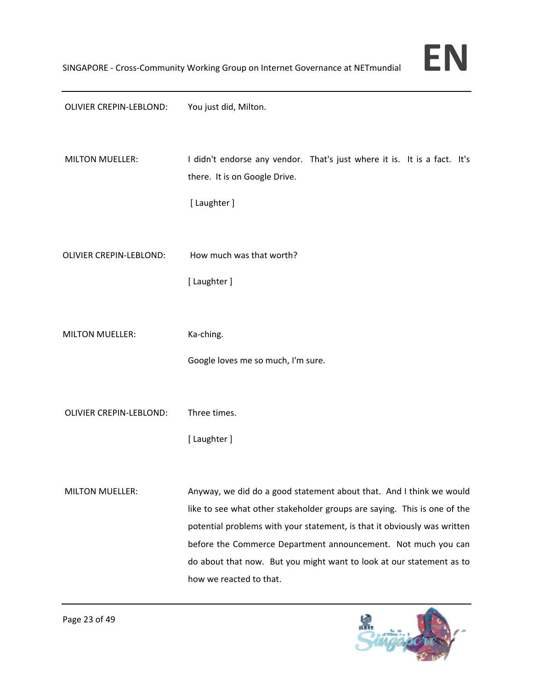| OLIVIER CREPIN-LEBLOND:        | You just did, Milton.                                                                                                                                                                                                                                                                                                                                                                           |
|--------------------------------|-------------------------------------------------------------------------------------------------------------------------------------------------------------------------------------------------------------------------------------------------------------------------------------------------------------------------------------------------------------------------------------------------|
| <b>MILTON MUELLER:</b>         | I didn't endorse any vendor. That's just where it is. It is a fact. It's<br>there. It is on Google Drive.<br>[ Laughter ]                                                                                                                                                                                                                                                                       |
| OLIVIER CREPIN-LEBLOND:        | How much was that worth?<br>[ Laughter ]                                                                                                                                                                                                                                                                                                                                                        |
| <b>MILTON MUELLER:</b>         | Ka-ching.<br>Google loves me so much, I'm sure.                                                                                                                                                                                                                                                                                                                                                 |
| <b>OLIVIER CREPIN-LEBLOND:</b> | Three times.<br>[ Laughter ]                                                                                                                                                                                                                                                                                                                                                                    |
| <b>MILTON MUELLER:</b>         | Anyway, we did do a good statement about that. And I think we would<br>like to see what other stakeholder groups are saying. This is one of the<br>potential problems with your statement, is that it obviously was written<br>before the Commerce Department announcement. Not much you can<br>do about that now. But you might want to look at our statement as to<br>how we reacted to that. |

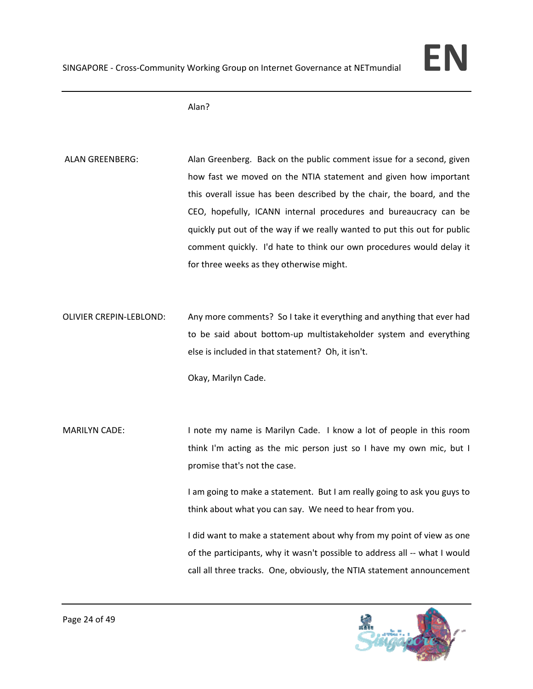

Alan?

ALAN GREENBERG: Alan Greenberg. Back on the public comment issue for a second, given how fast we moved on the NTIA statement and given how important this overall issue has been described by the chair, the board, and the CEO, hopefully, ICANN internal procedures and bureaucracy can be quickly put out of the way if we really wanted to put this out for public comment quickly. I'd hate to think our own procedures would delay it for three weeks as they otherwise might.

OLIVIER CREPIN‐LEBLOND: Any more comments? So I take it everything and anything that ever had to be said about bottom‐up multistakeholder system and everything else is included in that statement? Oh, it isn't.

Okay, Marilyn Cade.

MARILYN CADE: I note my name is Marilyn Cade. I know a lot of people in this room think I'm acting as the mic person just so I have my own mic, but I promise that's not the case.

> I am going to make a statement. But I am really going to ask you guys to think about what you can say. We need to hear from you.

> I did want to make a statement about why from my point of view as one of the participants, why it wasn't possible to address all ‐‐ what I would call all three tracks. One, obviously, the NTIA statement announcement

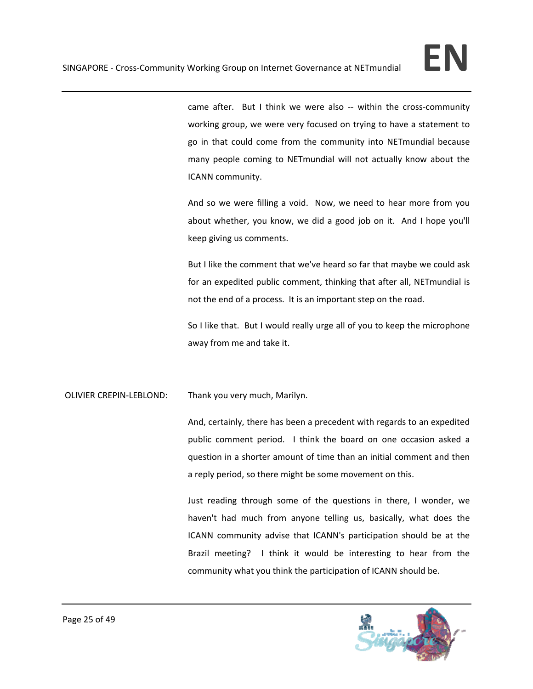came after. But I think we were also -- within the cross-community working group, we were very focused on trying to have a statement to go in that could come from the community into NETmundial because many people coming to NETmundial will not actually know about the ICANN community.

And so we were filling a void. Now, we need to hear more from you about whether, you know, we did a good job on it. And I hope you'll keep giving us comments.

But I like the comment that we've heard so far that maybe we could ask for an expedited public comment, thinking that after all, NETmundial is not the end of a process. It is an important step on the road.

So I like that. But I would really urge all of you to keep the microphone away from me and take it.

OLIVIER CREPIN‐LEBLOND: Thank you very much, Marilyn.

And, certainly, there has been a precedent with regards to an expedited public comment period. I think the board on one occasion asked a question in a shorter amount of time than an initial comment and then a reply period, so there might be some movement on this.

Just reading through some of the questions in there, I wonder, we haven't had much from anyone telling us, basically, what does the ICANN community advise that ICANN's participation should be at the Brazil meeting? I think it would be interesting to hear from the community what you think the participation of ICANN should be.

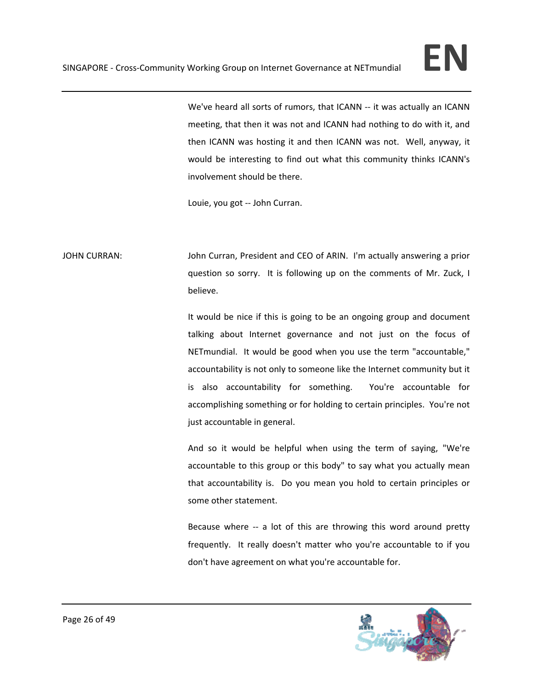

We've heard all sorts of rumors, that ICANN -- it was actually an ICANN meeting, that then it was not and ICANN had nothing to do with it, and then ICANN was hosting it and then ICANN was not. Well, anyway, it would be interesting to find out what this community thinks ICANN's involvement should be there.

Louie, you got ‐‐ John Curran.

JOHN CURRAN: John Curran, President and CEO of ARIN. I'm actually answering a prior question so sorry. It is following up on the comments of Mr. Zuck, I believe.

> It would be nice if this is going to be an ongoing group and document talking about Internet governance and not just on the focus of NETmundial. It would be good when you use the term "accountable," accountability is not only to someone like the Internet community but it is also accountability for something. You're accountable for accomplishing something or for holding to certain principles. You're not just accountable in general.

> And so it would be helpful when using the term of saying, "We're accountable to this group or this body" to say what you actually mean that accountability is. Do you mean you hold to certain principles or some other statement.

> Because where -- a lot of this are throwing this word around pretty frequently. It really doesn't matter who you're accountable to if you don't have agreement on what you're accountable for.

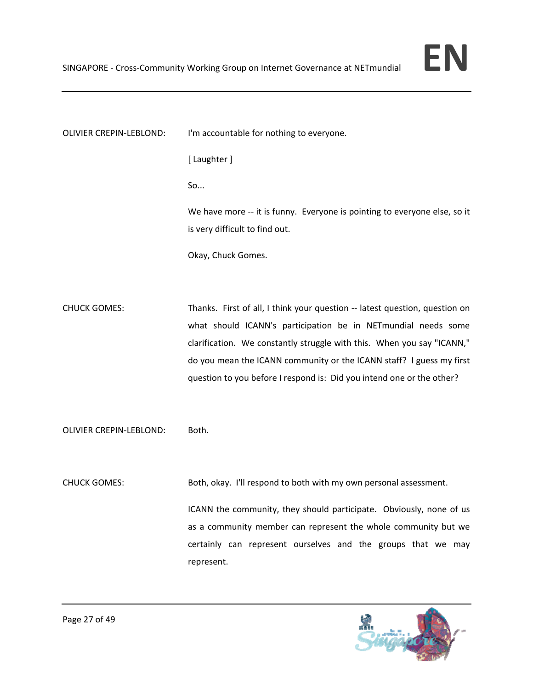OLIVIER CREPIN‐LEBLOND: I'm accountable for nothing to everyone. [ Laughter ] So... We have more -- it is funny. Everyone is pointing to everyone else, so it is very difficult to find out. Okay, Chuck Gomes. CHUCK GOMES: Thanks. First of all, I think your question ‐‐ latest question, question on what should ICANN's participation be in NETmundial needs some clarification. We constantly struggle with this. When you say "ICANN," do you mean the ICANN community or the ICANN staff? I guess my first question to you before I respond is: Did you intend one or the other? OLIVIER CREPIN‐LEBLOND: Both. CHUCK GOMES: Both, okay. I'll respond to both with my own personal assessment.

> ICANN the community, they should participate. Obviously, none of us as a community member can represent the whole community but we certainly can represent ourselves and the groups that we may represent.

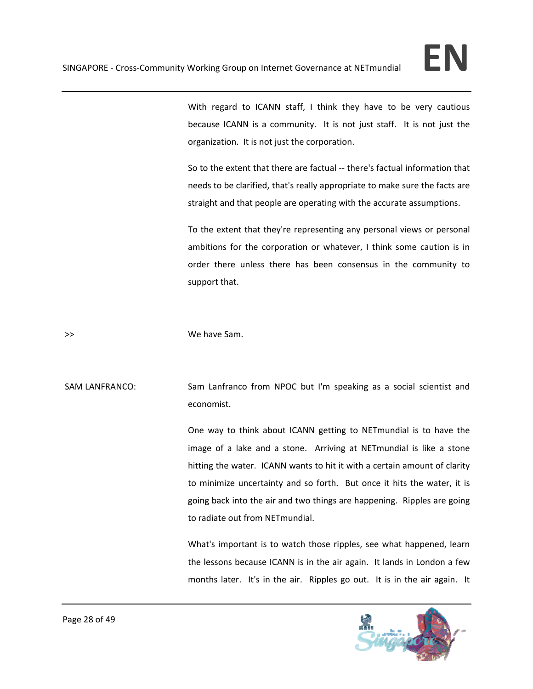With regard to ICANN staff, I think they have to be very cautious because ICANN is a community. It is not just staff. It is not just the organization. It is not just the corporation.

So to the extent that there are factual ‐‐ there's factual information that needs to be clarified, that's really appropriate to make sure the facts are straight and that people are operating with the accurate assumptions.

To the extent that they're representing any personal views or personal ambitions for the corporation or whatever, I think some caution is in order there unless there has been consensus in the community to support that.

>>  $\longrightarrow$  We have Sam.

SAM LANFRANCO: Sam Lanfranco from NPOC but I'm speaking as a social scientist and economist.

> One way to think about ICANN getting to NETmundial is to have the image of a lake and a stone. Arriving at NETmundial is like a stone hitting the water. ICANN wants to hit it with a certain amount of clarity to minimize uncertainty and so forth. But once it hits the water, it is going back into the air and two things are happening. Ripples are going to radiate out from NETmundial.

> What's important is to watch those ripples, see what happened, learn the lessons because ICANN is in the air again. It lands in London a few months later. It's in the air. Ripples go out. It is in the air again. It

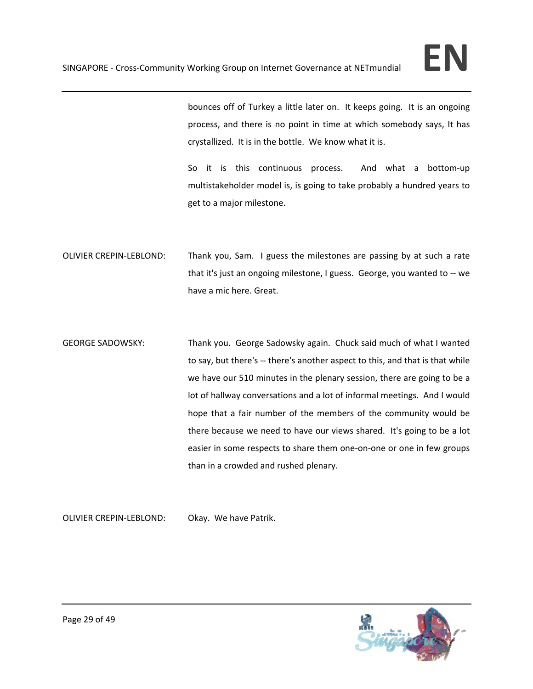

bounces off of Turkey a little later on. It keeps going. It is an ongoing process, and there is no point in time at which somebody says, It has crystallized. It is in the bottle. We know what it is.

So it is this continuous process. And what a bottom-up multistakeholder model is, is going to take probably a hundred years to get to a major milestone.

- OLIVIER CREPIN‐LEBLOND: Thank you, Sam. I guess the milestones are passing by at such a rate that it's just an ongoing milestone, I guess. George, you wanted to ‐‐ we have a mic here. Great.
- GEORGE SADOWSKY: Thank you. George Sadowsky again. Chuck said much of what I wanted to say, but there's -- there's another aspect to this, and that is that while we have our 510 minutes in the plenary session, there are going to be a lot of hallway conversations and a lot of informal meetings. And I would hope that a fair number of the members of the community would be there because we need to have our views shared. It's going to be a lot easier in some respects to share them one‐on‐one or one in few groups than in a crowded and rushed plenary.

OLIVIER CREPIN‐LEBLOND: Okay. We have Patrik.

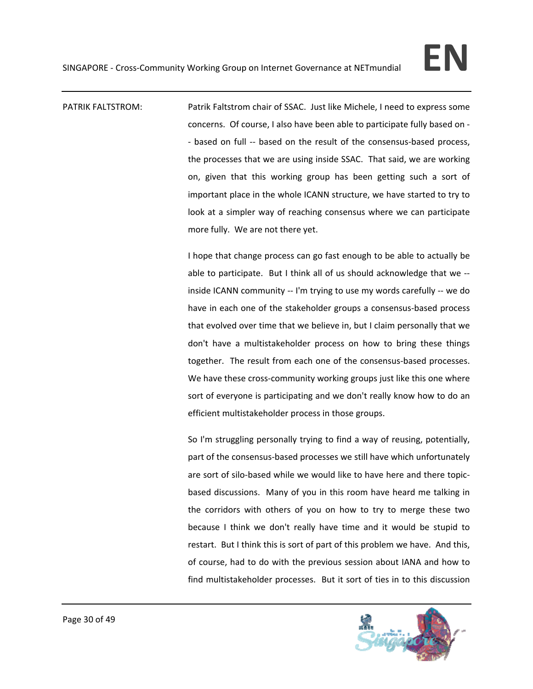PATRIK FALTSTROM: Patrik Faltstrom chair of SSAC. Just like Michele, I need to express some concerns. Of course, I also have been able to participate fully based on ‐ ‐ based on full ‐‐ based on the result of the consensus‐based process, the processes that we are using inside SSAC. That said, we are working on, given that this working group has been getting such a sort of important place in the whole ICANN structure, we have started to try to look at a simpler way of reaching consensus where we can participate more fully. We are not there yet.

> I hope that change process can go fast enough to be able to actually be able to participate. But I think all of us should acknowledge that we ‐‐ inside ICANN community -- I'm trying to use my words carefully -- we do have in each one of the stakeholder groups a consensus-based process that evolved over time that we believe in, but I claim personally that we don't have a multistakeholder process on how to bring these things together. The result from each one of the consensus‐based processes. We have these cross-community working groups just like this one where sort of everyone is participating and we don't really know how to do an efficient multistakeholder process in those groups.

> So I'm struggling personally trying to find a way of reusing, potentially, part of the consensus‐based processes we still have which unfortunately are sort of silo-based while we would like to have here and there topicbased discussions. Many of you in this room have heard me talking in the corridors with others of you on how to try to merge these two because I think we don't really have time and it would be stupid to restart. But I think this is sort of part of this problem we have. And this, of course, had to do with the previous session about IANA and how to find multistakeholder processes. But it sort of ties in to this discussion

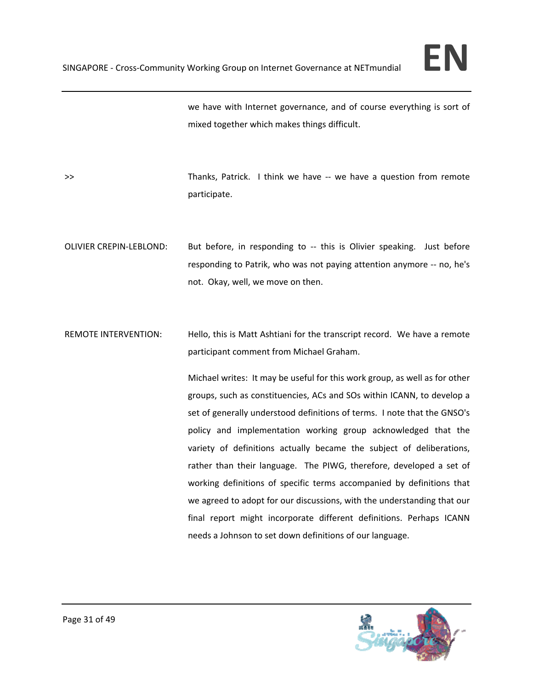

we have with Internet governance, and of course everything is sort of mixed together which makes things difficult.

>> Thanks, Patrick. I think we have -- we have a question from remote participate.

OLIVIER CREPIN‐LEBLOND: But before, in responding to ‐‐ this is Olivier speaking. Just before responding to Patrik, who was not paying attention anymore ‐‐ no, he's not. Okay, well, we move on then.

REMOTE INTERVENTION: Hello, this is Matt Ashtiani for the transcript record. We have a remote participant comment from Michael Graham.

> Michael writes: It may be useful for this work group, as well as for other groups, such as constituencies, ACs and SOs within ICANN, to develop a set of generally understood definitions of terms. I note that the GNSO's policy and implementation working group acknowledged that the variety of definitions actually became the subject of deliberations, rather than their language. The PIWG, therefore, developed a set of working definitions of specific terms accompanied by definitions that we agreed to adopt for our discussions, with the understanding that our final report might incorporate different definitions. Perhaps ICANN needs a Johnson to set down definitions of our language.

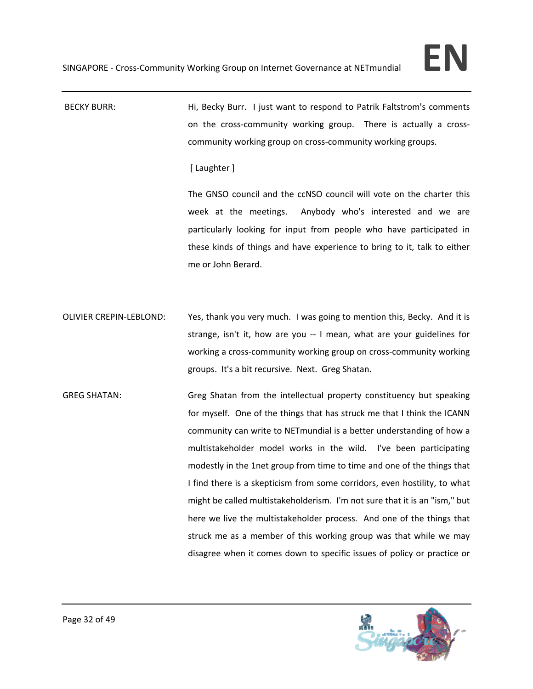BECKY BURR: 
Hi, Becky Burr. I just want to respond to Patrik Faltstrom's comments on the cross-community working group. There is actually a crosscommunity working group on cross‐community working groups.

[ Laughter ]

The GNSO council and the ccNSO council will vote on the charter this week at the meetings. Anybody who's interested and we are particularly looking for input from people who have participated in these kinds of things and have experience to bring to it, talk to either me or John Berard.

OLIVIER CREPIN‐LEBLOND: Yes, thank you very much. I was going to mention this, Becky. And it is strange, isn't it, how are you -- I mean, what are your guidelines for working a cross‐community working group on cross‐community working groups. It's a bit recursive. Next. Greg Shatan.

GREG SHATAN: Greg Shatan from the intellectual property constituency but speaking for myself. One of the things that has struck me that I think the ICANN community can write to NETmundial is a better understanding of how a multistakeholder model works in the wild. I've been participating modestly in the 1net group from time to time and one of the things that I find there is a skepticism from some corridors, even hostility, to what might be called multistakeholderism. I'm not sure that it is an "ism," but here we live the multistakeholder process. And one of the things that struck me as a member of this working group was that while we may disagree when it comes down to specific issues of policy or practice or

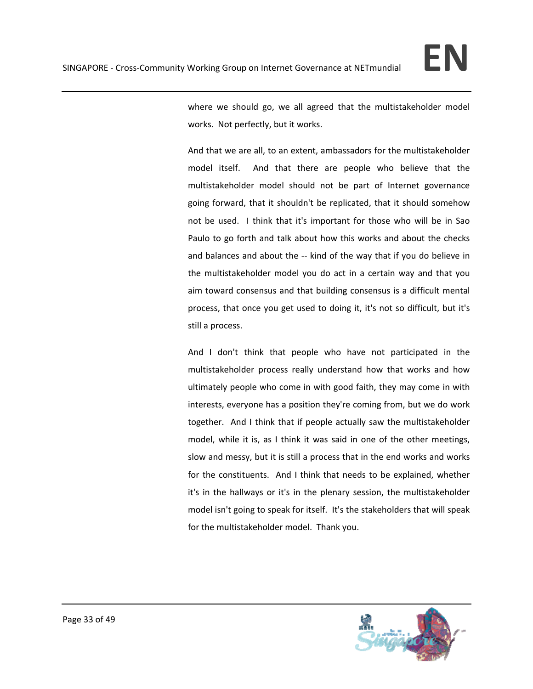

where we should go, we all agreed that the multistakeholder model works. Not perfectly, but it works.

And that we are all, to an extent, ambassadors for the multistakeholder model itself. And that there are people who believe that the multistakeholder model should not be part of Internet governance going forward, that it shouldn't be replicated, that it should somehow not be used. I think that it's important for those who will be in Sao Paulo to go forth and talk about how this works and about the checks and balances and about the ‐‐ kind of the way that if you do believe in the multistakeholder model you do act in a certain way and that you aim toward consensus and that building consensus is a difficult mental process, that once you get used to doing it, it's not so difficult, but it's still a process.

And I don't think that people who have not participated in the multistakeholder process really understand how that works and how ultimately people who come in with good faith, they may come in with interests, everyone has a position they're coming from, but we do work together. And I think that if people actually saw the multistakeholder model, while it is, as I think it was said in one of the other meetings, slow and messy, but it is still a process that in the end works and works for the constituents. And I think that needs to be explained, whether it's in the hallways or it's in the plenary session, the multistakeholder model isn't going to speak for itself. It's the stakeholders that will speak for the multistakeholder model. Thank you.

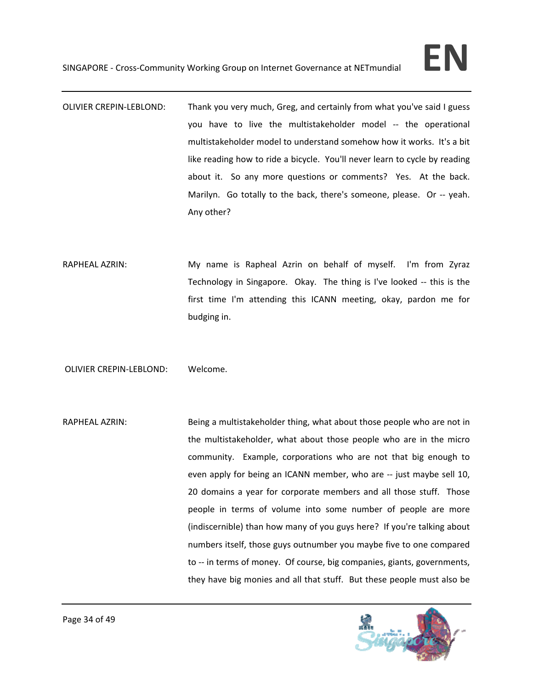- OLIVIER CREPIN‐LEBLOND: Thank you very much, Greg, and certainly from what you've said I guess you have to live the multistakeholder model ‐‐ the operational multistakeholder model to understand somehow how it works. It's a bit like reading how to ride a bicycle. You'll never learn to cycle by reading about it. So any more questions or comments? Yes. At the back. Marilyn. Go totally to the back, there's someone, please. Or -- yeah. Any other?
- RAPHEAL AZRIN: My name is Rapheal Azrin on behalf of myself. I'm from Zyraz Technology in Singapore. Okay. The thing is I've looked -- this is the first time I'm attending this ICANN meeting, okay, pardon me for budging in.

OLIVIER CREPIN‐LEBLOND: Welcome.

RAPHEAL AZRIN: Being a multistakeholder thing, what about those people who are not in the multistakeholder, what about those people who are in the micro community. Example, corporations who are not that big enough to even apply for being an ICANN member, who are -- just maybe sell 10, 20 domains a year for corporate members and all those stuff. Those people in terms of volume into some number of people are more (indiscernible) than how many of you guys here? If you're talking about numbers itself, those guys outnumber you maybe five to one compared to -- in terms of money. Of course, big companies, giants, governments, they have big monies and all that stuff. But these people must also be

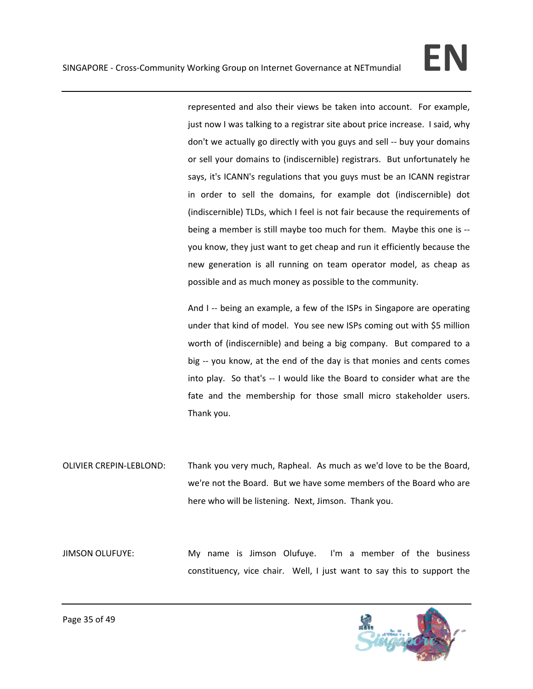represented and also their views be taken into account. For example, just now I was talking to a registrar site about price increase. I said, why don't we actually go directly with you guys and sell ‐‐ buy your domains or sell your domains to (indiscernible) registrars. But unfortunately he says, it's ICANN's regulations that you guys must be an ICANN registrar in order to sell the domains, for example dot (indiscernible) dot (indiscernible) TLDs, which I feel is not fair because the requirements of being a member is still maybe too much for them. Maybe this one is ‐‐ you know, they just want to get cheap and run it efficiently because the new generation is all running on team operator model, as cheap as possible and as much money as possible to the community.

And I -- being an example, a few of the ISPs in Singapore are operating under that kind of model. You see new ISPs coming out with \$5 million worth of (indiscernible) and being a big company. But compared to a big -- you know, at the end of the day is that monies and cents comes into play. So that's ‐‐ I would like the Board to consider what are the fate and the membership for those small micro stakeholder users. Thank you.

OLIVIER CREPIN‐LEBLOND: Thank you very much, Rapheal. As much as we'd love to be the Board, we're not the Board. But we have some members of the Board who are here who will be listening. Next, Jimson. Thank you.

JIMSON OLUFUYE: My name is Jimson Olufuye. I'm a member of the business constituency, vice chair. Well, I just want to say this to support the

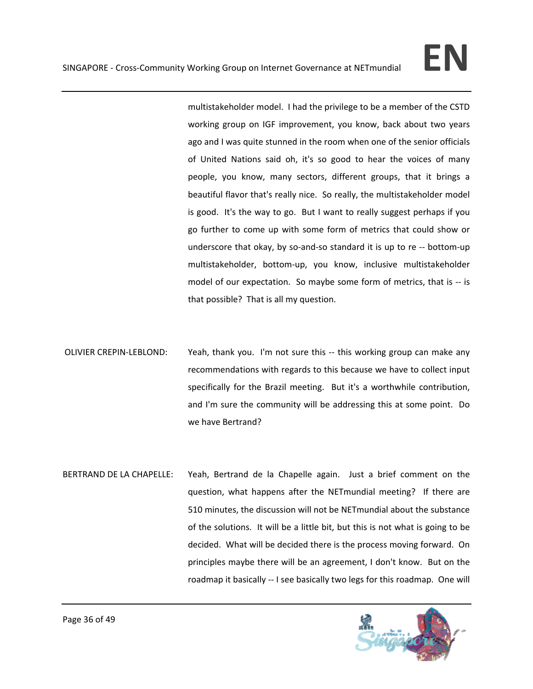multistakeholder model. I had the privilege to be a member of the CSTD working group on IGF improvement, you know, back about two years ago and I was quite stunned in the room when one of the senior officials of United Nations said oh, it's so good to hear the voices of many people, you know, many sectors, different groups, that it brings a beautiful flavor that's really nice. So really, the multistakeholder model is good. It's the way to go. But I want to really suggest perhaps if you go further to come up with some form of metrics that could show or underscore that okay, by so‐and‐so standard it is up to re ‐‐ bottom‐up multistakeholder, bottom‐up, you know, inclusive multistakeholder model of our expectation. So maybe some form of metrics, that is ‐‐ is that possible? That is all my question.

- OLIVIER CREPIN-LEBLOND: Yeah, thank you. I'm not sure this -- this working group can make any recommendations with regards to this because we have to collect input specifically for the Brazil meeting. But it's a worthwhile contribution, and I'm sure the community will be addressing this at some point. Do we have Bertrand?
- BERTRAND DE LA CHAPELLE: Yeah, Bertrand de la Chapelle again. Just a brief comment on the question, what happens after the NETmundial meeting? If there are 510 minutes, the discussion will not be NETmundial about the substance of the solutions. It will be a little bit, but this is not what is going to be decided. What will be decided there is the process moving forward. On principles maybe there will be an agreement, I don't know. But on the roadmap it basically ‐‐ I see basically two legs for this roadmap. One will

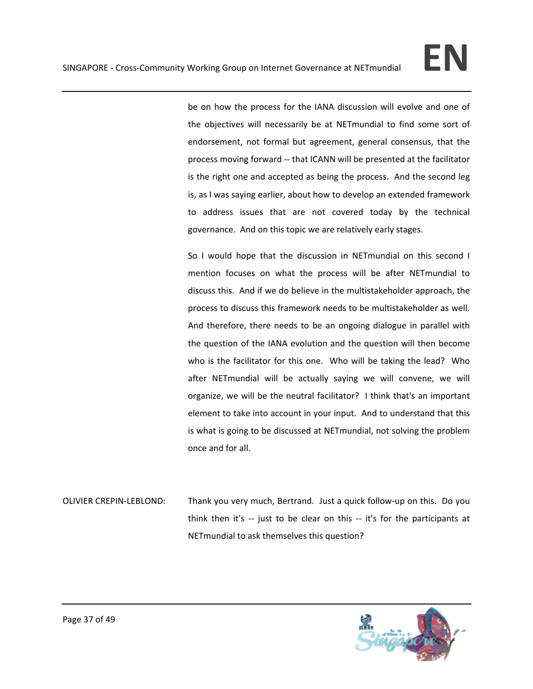be on how the process for the IANA discussion will evolve and one of the objectives will necessarily be at NETmundial to find some sort of endorsement, not formal but agreement, general consensus, that the process moving forward ‐‐ that ICANN will be presented at the facilitator is the right one and accepted as being the process. And the second leg is, as I was saying earlier, about how to develop an extended framework to address issues that are not covered today by the technical governance. And on this topic we are relatively early stages.

So I would hope that the discussion in NETmundial on this second I mention focuses on what the process will be after NETmundial to discuss this. And if we do believe in the multistakeholder approach, the process to discuss this framework needs to be multistakeholder as well. And therefore, there needs to be an ongoing dialogue in parallel with the question of the IANA evolution and the question will then become who is the facilitator for this one. Who will be taking the lead? Who after NETmundial will be actually saying we will convene, we will organize, we will be the neutral facilitator? I think that's an important element to take into account in your input. And to understand that this is what is going to be discussed at NETmundial, not solving the problem once and for all.

OLIVIER CREPIN‐LEBLOND: Thank you very much, Bertrand. Just a quick follow‐up on this. Do you think then it's -- just to be clear on this -- it's for the participants at NETmundial to ask themselves this question?

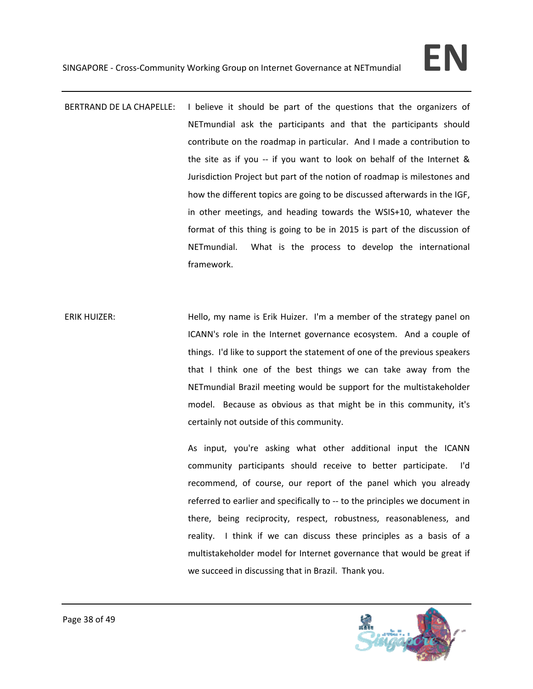- BERTRAND DE LA CHAPELLE: I believe it should be part of the questions that the organizers of NETmundial ask the participants and that the participants should contribute on the roadmap in particular. And I made a contribution to the site as if you  $-$  if you want to look on behalf of the Internet  $\&$ Jurisdiction Project but part of the notion of roadmap is milestones and how the different topics are going to be discussed afterwards in the IGF, in other meetings, and heading towards the WSIS+10, whatever the format of this thing is going to be in 2015 is part of the discussion of NETmundial. What is the process to develop the international framework.
- ERIK HUIZER: Hello, my name is Erik Huizer. I'm a member of the strategy panel on ICANN's role in the Internet governance ecosystem. And a couple of things. I'd like to support the statement of one of the previous speakers that I think one of the best things we can take away from the NETmundial Brazil meeting would be support for the multistakeholder model. Because as obvious as that might be in this community, it's certainly not outside of this community.

As input, you're asking what other additional input the ICANN community participants should receive to better participate. I'd recommend, of course, our report of the panel which you already referred to earlier and specifically to ‐‐ to the principles we document in there, being reciprocity, respect, robustness, reasonableness, and reality. I think if we can discuss these principles as a basis of a multistakeholder model for Internet governance that would be great if we succeed in discussing that in Brazil. Thank you.

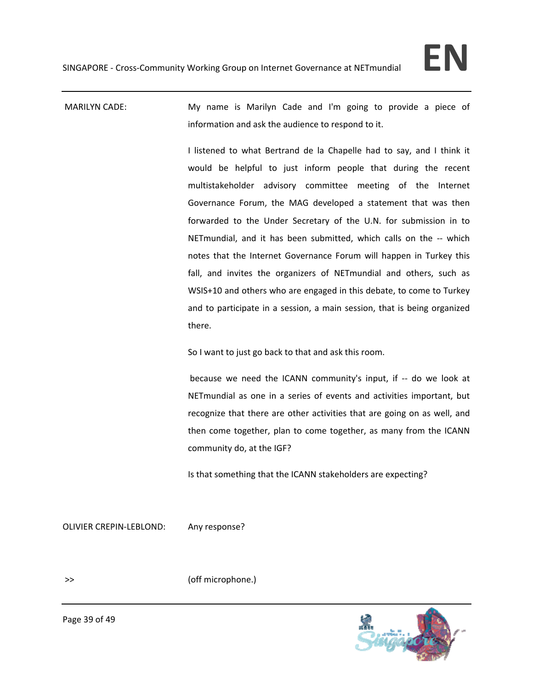MARILYN CADE: My name is Marilyn Cade and I'm going to provide a piece of information and ask the audience to respond to it.

> I listened to what Bertrand de la Chapelle had to say, and I think it would be helpful to just inform people that during the recent multistakeholder advisory committee meeting of the Internet Governance Forum, the MAG developed a statement that was then forwarded to the Under Secretary of the U.N. for submission in to NETmundial, and it has been submitted, which calls on the -- which notes that the Internet Governance Forum will happen in Turkey this fall, and invites the organizers of NETmundial and others, such as WSIS+10 and others who are engaged in this debate, to come to Turkey and to participate in a session, a main session, that is being organized there.

So I want to just go back to that and ask this room.

because we need the ICANN community's input, if ‐‐ do we look at NETmundial as one in a series of events and activities important, but recognize that there are other activities that are going on as well, and then come together, plan to come together, as many from the ICANN community do, at the IGF?

Is that something that the ICANN stakeholders are expecting?

OLIVIER CREPIN‐LEBLOND: Any response?

>> (off microphone.)



Page 39 of 49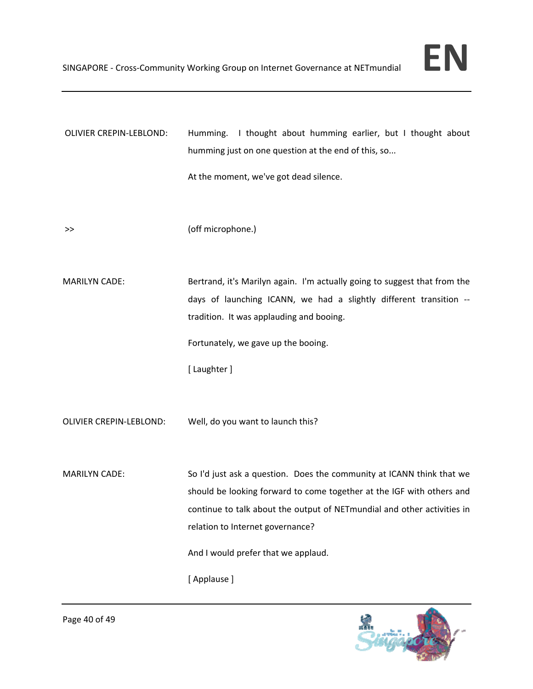| OLIVIER CREPIN-LEBLOND: | Humming. I thought about humming earlier, but I thought about<br>humming just on one question at the end of this, so                                                                        |
|-------------------------|---------------------------------------------------------------------------------------------------------------------------------------------------------------------------------------------|
|                         | At the moment, we've got dead silence.                                                                                                                                                      |
| >>                      | (off microphone.)                                                                                                                                                                           |
| <b>MARILYN CADE:</b>    | Bertrand, it's Marilyn again. I'm actually going to suggest that from the<br>days of launching ICANN, we had a slightly different transition --<br>tradition. It was applauding and booing. |
|                         | Fortunately, we gave up the booing.                                                                                                                                                         |
|                         | [ Laughter ]                                                                                                                                                                                |
| OLIVIER CREPIN-LEBLOND: | Well, do you want to launch this?                                                                                                                                                           |
| <b>MARILYN CADE:</b>    | So I'd just ask a question. Does the community at ICANN think that we                                                                                                                       |
|                         | should be looking forward to come together at the IGF with others and<br>continue to talk about the output of NETmundial and other activities in                                            |
|                         | relation to Internet governance?                                                                                                                                                            |
|                         | And I would prefer that we applaud.                                                                                                                                                         |
|                         | [Applause]                                                                                                                                                                                  |

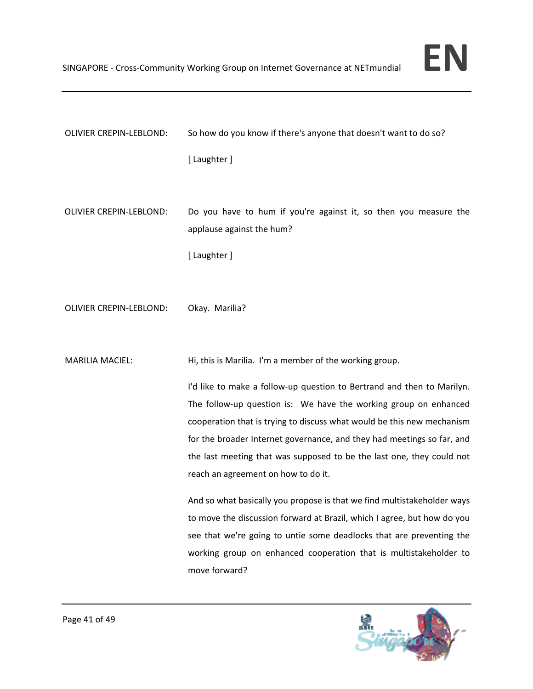

| OLIVIER CREPIN-LEBLOND: | So how do you know if there's anyone that doesn't want to do so?                                                                                                                                                                                                                                                                                                                                               |
|-------------------------|----------------------------------------------------------------------------------------------------------------------------------------------------------------------------------------------------------------------------------------------------------------------------------------------------------------------------------------------------------------------------------------------------------------|
|                         | [ Laughter ]                                                                                                                                                                                                                                                                                                                                                                                                   |
| OLIVIER CREPIN-LEBLOND: | Do you have to hum if you're against it, so then you measure the<br>applause against the hum?                                                                                                                                                                                                                                                                                                                  |
|                         | [ Laughter ]                                                                                                                                                                                                                                                                                                                                                                                                   |
| OLIVIER CREPIN-LEBLOND: | Okay. Marilia?                                                                                                                                                                                                                                                                                                                                                                                                 |
| <b>MARILIA MACIEL:</b>  | Hi, this is Marilia. I'm a member of the working group.                                                                                                                                                                                                                                                                                                                                                        |
|                         | I'd like to make a follow-up question to Bertrand and then to Marilyn.<br>The follow-up question is: We have the working group on enhanced<br>cooperation that is trying to discuss what would be this new mechanism<br>for the broader Internet governance, and they had meetings so far, and<br>the last meeting that was supposed to be the last one, they could not<br>reach an agreement on how to do it. |
|                         | And so what basically you propose is that we find multistakeholder ways<br>to move the discussion forward at Brazil, which I agree, but how do you<br>see that we're going to untie some deadlocks that are preventing the<br>working group on enhanced cooperation that is multistakeholder to<br>move forward?                                                                                               |

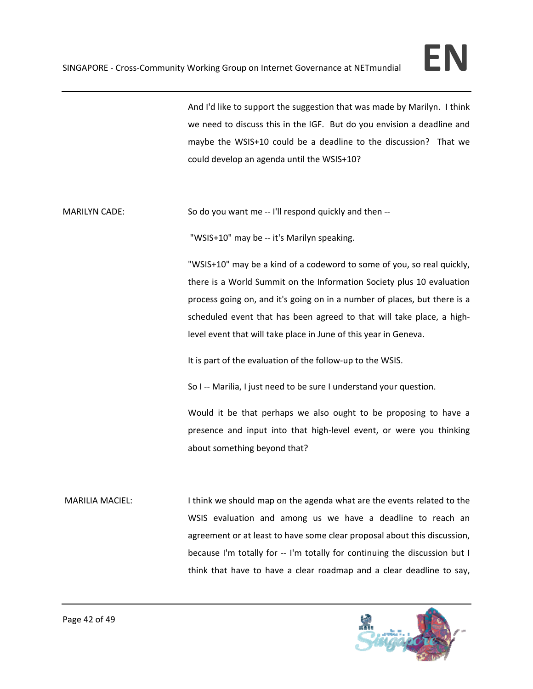And I'd like to support the suggestion that was made by Marilyn. I think we need to discuss this in the IGF. But do you envision a deadline and maybe the WSIS+10 could be a deadline to the discussion? That we could develop an agenda until the WSIS+10?

MARILYN CADE: So do you want me -- I'll respond quickly and then --

"WSIS+10" may be ‐‐ it's Marilyn speaking.

"WSIS+10" may be a kind of a codeword to some of you, so real quickly, there is a World Summit on the Information Society plus 10 evaluation process going on, and it's going on in a number of places, but there is a scheduled event that has been agreed to that will take place, a high‐ level event that will take place in June of this year in Geneva.

It is part of the evaluation of the follow‐up to the WSIS.

So I -- Marilia, I just need to be sure I understand your question.

Would it be that perhaps we also ought to be proposing to have a presence and input into that high-level event, or were you thinking about something beyond that?

MARILIA MACIEL: I think we should map on the agenda what are the events related to the WSIS evaluation and among us we have a deadline to reach an agreement or at least to have some clear proposal about this discussion, because I'm totally for -- I'm totally for continuing the discussion but I think that have to have a clear roadmap and a clear deadline to say,

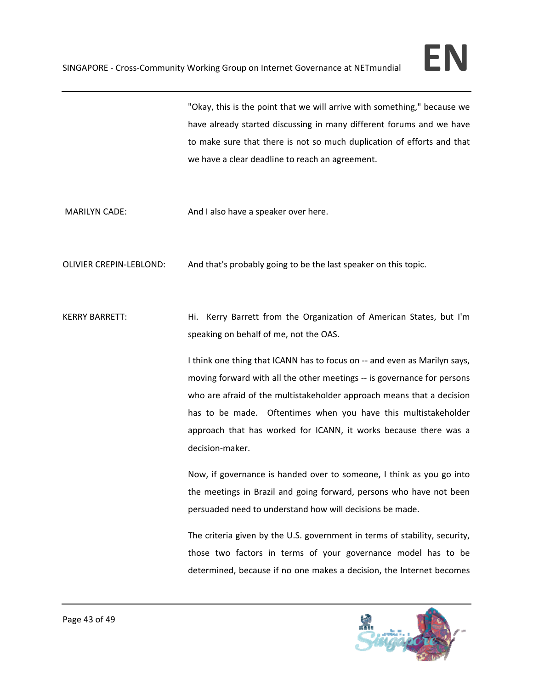"Okay, this is the point that we will arrive with something," because we have already started discussing in many different forums and we have to make sure that there is not so much duplication of efforts and that we have a clear deadline to reach an agreement.

MARILYN CADE: MARILYN CADE: And I also have a speaker over here.

OLIVIER CREPIN‐LEBLOND: And that's probably going to be the last speaker on this topic.

KERRY BARRETT: Hi. Kerry Barrett from the Organization of American States, but I'm speaking on behalf of me, not the OAS.

> I think one thing that ICANN has to focus on ‐‐ and even as Marilyn says, moving forward with all the other meetings ‐‐ is governance for persons who are afraid of the multistakeholder approach means that a decision has to be made. Oftentimes when you have this multistakeholder approach that has worked for ICANN, it works because there was a decision‐maker.

> Now, if governance is handed over to someone, I think as you go into the meetings in Brazil and going forward, persons who have not been persuaded need to understand how will decisions be made.

> The criteria given by the U.S. government in terms of stability, security, those two factors in terms of your governance model has to be determined, because if no one makes a decision, the Internet becomes

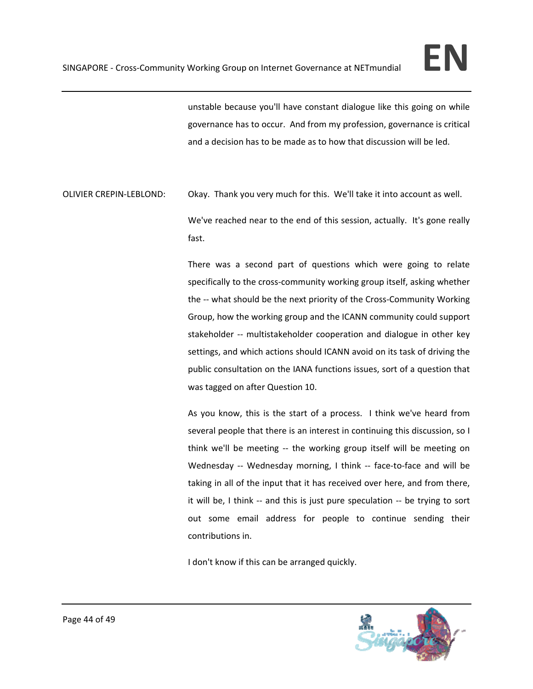unstable because you'll have constant dialogue like this going on while governance has to occur. And from my profession, governance is critical and a decision has to be made as to how that discussion will be led.

OLIVIER CREPIN‐LEBLOND: Okay. Thank you very much for this. We'll take it into account as well.

We've reached near to the end of this session, actually. It's gone really fast.

There was a second part of questions which were going to relate specifically to the cross‐community working group itself, asking whether the -- what should be the next priority of the Cross-Community Working Group, how the working group and the ICANN community could support stakeholder -- multistakeholder cooperation and dialogue in other key settings, and which actions should ICANN avoid on its task of driving the public consultation on the IANA functions issues, sort of a question that was tagged on after Question 10.

As you know, this is the start of a process. I think we've heard from several people that there is an interest in continuing this discussion, so I think we'll be meeting -- the working group itself will be meeting on Wednesday -- Wednesday morning, I think -- face-to-face and will be taking in all of the input that it has received over here, and from there, it will be, I think -- and this is just pure speculation -- be trying to sort out some email address for people to continue sending their contributions in.

I don't know if this can be arranged quickly.

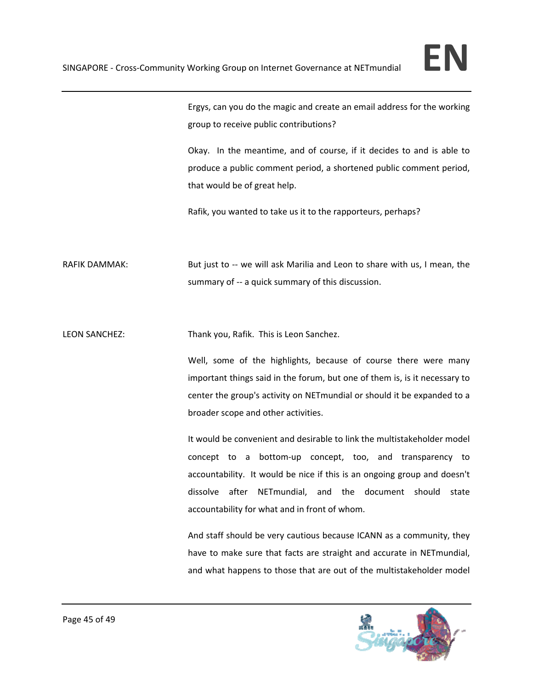

Ergys, can you do the magic and create an email address for the working group to receive public contributions?

Okay. In the meantime, and of course, if it decides to and is able to produce a public comment period, a shortened public comment period, that would be of great help.

Rafik, you wanted to take us it to the rapporteurs, perhaps?

RAFIK DAMMAK: But just to -- we will ask Marilia and Leon to share with us, I mean, the summary of -- a quick summary of this discussion.

LEON SANCHEZ: Thank you, Rafik. This is Leon Sanchez.

Well, some of the highlights, because of course there were many important things said in the forum, but one of them is, is it necessary to center the group's activity on NETmundial or should it be expanded to a broader scope and other activities.

It would be convenient and desirable to link the multistakeholder model concept to a bottom‐up concept, too, and transparency to accountability. It would be nice if this is an ongoing group and doesn't dissolve after NETmundial, and the document should state accountability for what and in front of whom.

And staff should be very cautious because ICANN as a community, they have to make sure that facts are straight and accurate in NETmundial, and what happens to those that are out of the multistakeholder model

![](_page_44_Picture_10.jpeg)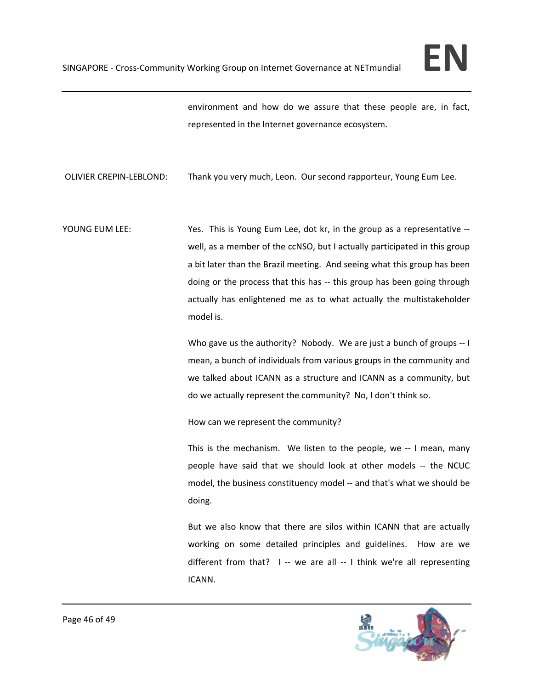environment and how do we assure that these people are, in fact, represented in the Internet governance ecosystem.

OLIVIER CREPIN‐LEBLOND: Thank you very much, Leon. Our second rapporteur, Young Eum Lee.

YOUNG EUM LEE: **South A COUNG EUM LEE: South A COUNG EUM Lee, dot kr, in the group as a representative -**well, as a member of the ccNSO, but I actually participated in this group a bit later than the Brazil meeting. And seeing what this group has been doing or the process that this has ‐‐ this group has been going through actually has enlightened me as to what actually the multistakeholder model is.

> Who gave us the authority? Nobody. We are just a bunch of groups ‐‐ I mean, a bunch of individuals from various groups in the community and we talked about ICANN as a structure and ICANN as a community, but do we actually represent the community? No, I don't think so.

How can we represent the community?

This is the mechanism. We listen to the people, we -- I mean, many people have said that we should look at other models ‐‐ the NCUC model, the business constituency model ‐‐ and that's what we should be doing.

But we also know that there are silos within ICANN that are actually working on some detailed principles and guidelines. How are we different from that?  $I -$  we are all  $-I$  think we're all representing ICANN.

![](_page_45_Picture_9.jpeg)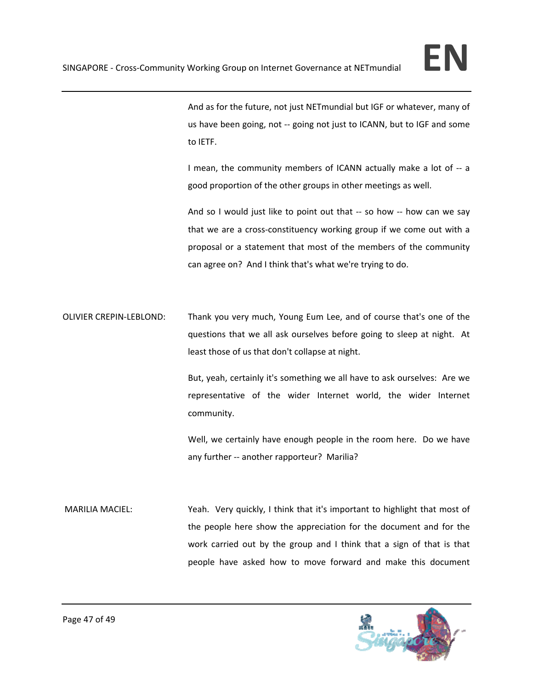And as for the future, not just NETmundial but IGF or whatever, many of us have been going, not ‐‐ going not just to ICANN, but to IGF and some to IETF.

I mean, the community members of ICANN actually make a lot of ‐‐ a good proportion of the other groups in other meetings as well.

And so I would just like to point out that -- so how -- how can we say that we are a cross‐constituency working group if we come out with a proposal or a statement that most of the members of the community can agree on? And I think that's what we're trying to do.

OLIVIER CREPIN‐LEBLOND: Thank you very much, Young Eum Lee, and of course that's one of the questions that we all ask ourselves before going to sleep at night. At least those of us that don't collapse at night.

> But, yeah, certainly it's something we all have to ask ourselves: Are we representative of the wider Internet world, the wider Internet community.

> Well, we certainly have enough people in the room here. Do we have any further -- another rapporteur? Marilia?

MARILIA MACIEL: Yeah. Very quickly, I think that it's important to highlight that most of the people here show the appreciation for the document and for the work carried out by the group and I think that a sign of that is that people have asked how to move forward and make this document

![](_page_46_Picture_9.jpeg)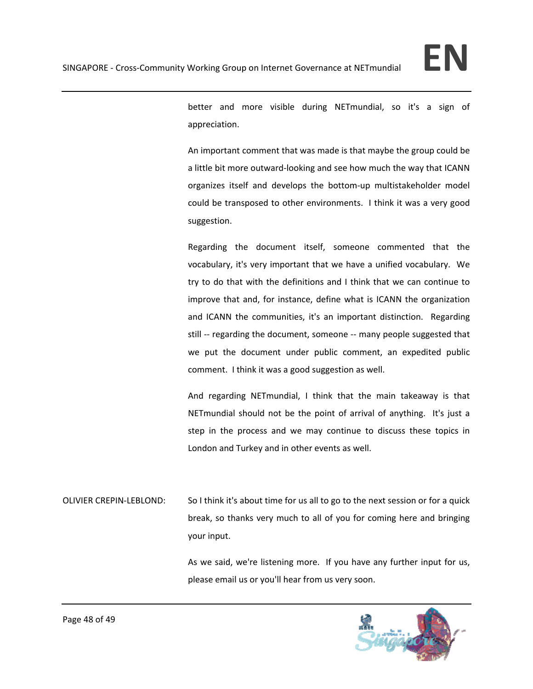![](_page_47_Picture_1.jpeg)

better and more visible during NETmundial, so it's a sign of appreciation.

An important comment that was made is that maybe the group could be a little bit more outward‐looking and see how much the way that ICANN organizes itself and develops the bottom‐up multistakeholder model could be transposed to other environments. I think it was a very good suggestion.

Regarding the document itself, someone commented that the vocabulary, it's very important that we have a unified vocabulary. We try to do that with the definitions and I think that we can continue to improve that and, for instance, define what is ICANN the organization and ICANN the communities, it's an important distinction. Regarding still -- regarding the document, someone -- many people suggested that we put the document under public comment, an expedited public comment. I think it was a good suggestion as well.

And regarding NETmundial, I think that the main takeaway is that NETmundial should not be the point of arrival of anything. It's just a step in the process and we may continue to discuss these topics in London and Turkey and in other events as well.

OLIVIER CREPIN‐LEBLOND: So I think it's about time for us all to go to the next session or for a quick break, so thanks very much to all of you for coming here and bringing your input.

> As we said, we're listening more. If you have any further input for us, please email us or you'll hear from us very soon.

![](_page_47_Picture_8.jpeg)